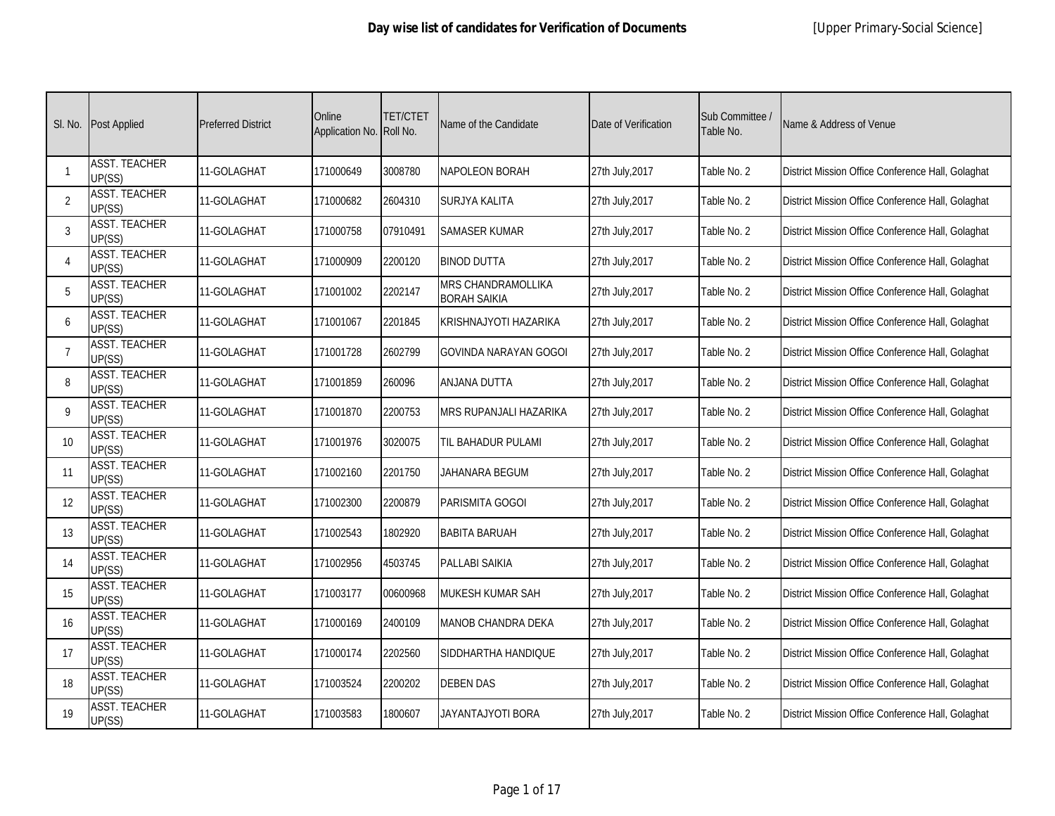| SI. No.        | <b>Post Applied</b>            | <b>Preferred District</b> | Online<br>Application No. Roll No. | <b>TET/CTET</b> | Name of the Candidate                     | Date of Verification | Sub Committee /<br>Table No. | Name & Address of Venue                           |
|----------------|--------------------------------|---------------------------|------------------------------------|-----------------|-------------------------------------------|----------------------|------------------------------|---------------------------------------------------|
| $\overline{1}$ | <b>ASST. TEACHER</b><br>UP(SS) | 11-GOLAGHAT               | 171000649                          | 3008780         | <b>NAPOLEON BORAH</b>                     | 27th July, 2017      | Table No. 2                  | District Mission Office Conference Hall, Golaghat |
| 2              | <b>ASST. TEACHER</b><br>UP(SS) | 11-GOLAGHAT               | 171000682                          | 2604310         | SURJYA KALITA                             | 27th July, 2017      | Table No. 2                  | District Mission Office Conference Hall, Golaghat |
| 3              | <b>ASST. TEACHER</b><br>UP(SS) | 11-GOLAGHAT               | 171000758                          | 07910491        | SAMASER KUMAR                             | 27th July, 2017      | Table No. 2                  | District Mission Office Conference Hall, Golaghat |
| $\overline{4}$ | <b>ASST. TEACHER</b><br>UP(SS) | 11-GOLAGHAT               | 171000909                          | 2200120         | <b>BINOD DUTTA</b>                        | 27th July, 2017      | Table No. 2                  | District Mission Office Conference Hall, Golaghat |
| 5              | <b>ASST. TEACHER</b><br>UP(SS) | 11-GOLAGHAT               | 171001002                          | 2202147         | MRS CHANDRAMOLLIKA<br><b>BORAH SAIKIA</b> | 27th July, 2017      | Table No. 2                  | District Mission Office Conference Hall, Golaghat |
| 6              | <b>ASST. TEACHER</b><br>UP(SS) | 11-GOLAGHAT               | 171001067                          | 2201845         | KRISHNAJYOTI HAZARIKA                     | 27th July, 2017      | Table No. 2                  | District Mission Office Conference Hall, Golaghat |
| $\overline{7}$ | <b>ASST. TEACHER</b><br>UP(SS) | 11-GOLAGHAT               | 171001728                          | 2602799         | <b>GOVINDA NARAYAN GOGOI</b>              | 27th July, 2017      | Table No. 2                  | District Mission Office Conference Hall, Golaghat |
| 8              | <b>ASST. TEACHER</b><br>UP(SS) | 11-GOLAGHAT               | 171001859                          | 260096          | ANJANA DUTTA                              | 27th July, 2017      | Table No. 2                  | District Mission Office Conference Hall, Golaghat |
| 9              | <b>ASST. TEACHER</b><br>UP(SS) | 11-GOLAGHAT               | 171001870                          | 2200753         | MRS RUPANJALI HAZARIKA                    | 27th July, 2017      | Table No. 2                  | District Mission Office Conference Hall, Golaghat |
| 10             | <b>ASST. TEACHER</b><br>UP(SS) | 11-GOLAGHAT               | 171001976                          | 3020075         | til Bahadur Pulami                        | 27th July, 2017      | Table No. 2                  | District Mission Office Conference Hall, Golaghat |
| 11             | <b>ASST. TEACHER</b><br>UP(SS) | 11-GOLAGHAT               | 171002160                          | 2201750         | JAHANARA BEGUM                            | 27th July, 2017      | Table No. 2                  | District Mission Office Conference Hall, Golaghat |
| 12             | <b>ASST. TEACHER</b><br>UP(SS) | 11-GOLAGHAT               | 171002300                          | 2200879         | PARISMITA GOGOI                           | 27th July, 2017      | Table No. 2                  | District Mission Office Conference Hall, Golaghat |
| 13             | <b>ASST. TEACHER</b><br>UP(SS) | 11-GOLAGHAT               | 171002543                          | 1802920         | <b>BABITA BARUAH</b>                      | 27th July, 2017      | Table No. 2                  | District Mission Office Conference Hall, Golaghat |
| 14             | <b>ASST. TEACHER</b><br>UP(SS) | 11-GOLAGHAT               | 171002956                          | 4503745         | PALLABI SAIKIA                            | 27th July, 2017      | Table No. 2                  | District Mission Office Conference Hall, Golaghat |
| 15             | <b>ASST. TEACHER</b><br>UP(SS) | 11-GOLAGHAT               | 171003177                          | 00600968        | <b>MUKESH KUMAR SAH</b>                   | 27th July, 2017      | Table No. 2                  | District Mission Office Conference Hall, Golaghat |
| 16             | <b>ASST. TEACHER</b><br>UP(SS) | 11-GOLAGHAT               | 171000169                          | 2400109         | <b>MANOB CHANDRA DEKA</b>                 | 27th July, 2017      | Table No. 2                  | District Mission Office Conference Hall, Golaghat |
| 17             | <b>ASST. TEACHER</b><br>UP(SS) | 11-GOLAGHAT               | 171000174                          | 2202560         | SIDDHARTHA HANDIQUE                       | 27th July, 2017      | Table No. 2                  | District Mission Office Conference Hall, Golaghat |
| 18             | <b>ASST. TEACHER</b><br>UP(SS) | 11-GOLAGHAT               | 171003524                          | 2200202         | <b>DEBEN DAS</b>                          | 27th July, 2017      | Table No. 2                  | District Mission Office Conference Hall, Golaghat |
| 19             | <b>ASST. TEACHER</b><br>UP(SS) | 11-GOLAGHAT               | 171003583                          | 1800607         | JAYANTAJYOTI BORA                         | 27th July, 2017      | Table No. 2                  | District Mission Office Conference Hall, Golaghat |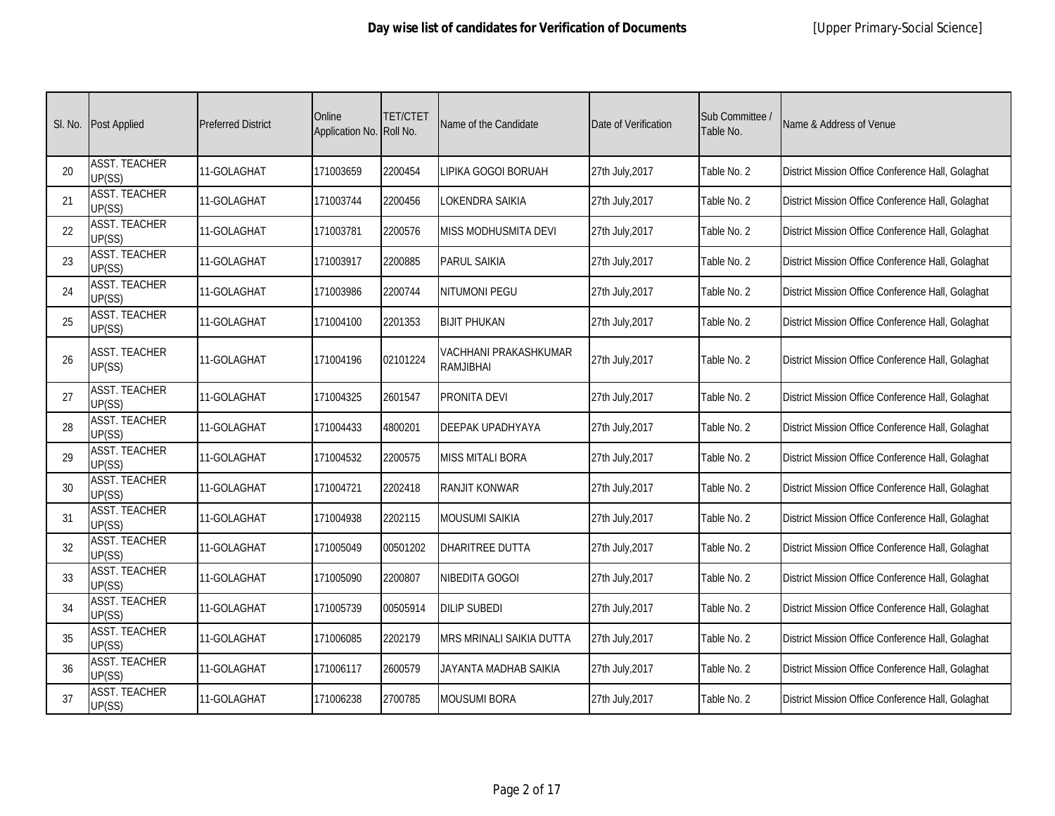| SI. No. | <b>Post Applied</b>            | <b>Preferred District</b> | Online<br>Application No. Roll No. | TET/CTET | Name of the Candidate              | Date of Verification | Sub Committee /<br>Table No. | Name & Address of Venue                           |
|---------|--------------------------------|---------------------------|------------------------------------|----------|------------------------------------|----------------------|------------------------------|---------------------------------------------------|
| 20      | <b>ASST. TEACHER</b><br>UP(SS) | 11-GOLAGHAT               | 171003659                          | 2200454  | LIPIKA GOGOI BORUAH                | 27th July, 2017      | Table No. 2                  | District Mission Office Conference Hall, Golaghat |
| 21      | <b>ASST. TEACHER</b><br>UP(SS) | 11-GOLAGHAT               | 171003744                          | 2200456  | LOKENDRA SAIKIA                    | 27th July, 2017      | Table No. 2                  | District Mission Office Conference Hall, Golaghat |
| 22      | <b>ASST. TEACHER</b><br>UP(SS) | 11-GOLAGHAT               | 171003781                          | 2200576  | MISS MODHUSMITA DEVI               | 27th July, 2017      | Table No. 2                  | District Mission Office Conference Hall, Golaghat |
| 23      | <b>ASST. TEACHER</b><br>UP(SS) | 11-GOLAGHAT               | 171003917                          | 2200885  | <b>PARUL SAIKIA</b>                | 27th July, 2017      | Table No. 2                  | District Mission Office Conference Hall, Golaghat |
| 24      | <b>ASST. TEACHER</b><br>UP(SS) | 11-GOLAGHAT               | 171003986                          | 2200744  | <b>NITUMONI PEGU</b>               | 27th July, 2017      | Table No. 2                  | District Mission Office Conference Hall, Golaghat |
| 25      | <b>ASST. TEACHER</b><br>UP(SS) | 11-GOLAGHAT               | 171004100                          | 2201353  | <b>BIJIT PHUKAN</b>                | 27th July, 2017      | Table No. 2                  | District Mission Office Conference Hall, Golaghat |
| 26      | <b>ASST. TEACHER</b><br>UP(SS) | 11-GOLAGHAT               | 171004196                          | 02101224 | VACHHANI PRAKASHKUMAR<br>RAMJIBHAI | 27th July, 2017      | Table No. 2                  | District Mission Office Conference Hall, Golaghat |
| 27      | <b>ASST. TEACHER</b><br>UP(SS) | 11-GOLAGHAT               | 171004325                          | 2601547  | PRONITA DEVI                       | 27th July, 2017      | Table No. 2                  | District Mission Office Conference Hall, Golaghat |
| 28      | <b>ASST. TEACHER</b><br>UP(SS) | 11-GOLAGHAT               | 171004433                          | 4800201  | DEEPAK UPADHYAYA                   | 27th July, 2017      | Table No. 2                  | District Mission Office Conference Hall, Golaghat |
| 29      | <b>ASST. TEACHER</b><br>UP(SS) | 11-GOLAGHAT               | 171004532                          | 2200575  | <b>MISS MITALI BORA</b>            | 27th July, 2017      | Table No. 2                  | District Mission Office Conference Hall, Golaghat |
| 30      | <b>ASST. TEACHER</b><br>UP(SS) | 11-GOLAGHAT               | 171004721                          | 2202418  | <b>RANJIT KONWAR</b>               | 27th July, 2017      | Table No. 2                  | District Mission Office Conference Hall, Golaghat |
| 31      | <b>ASST. TEACHER</b><br>UP(SS) | 11-GOLAGHAT               | 171004938                          | 2202115  | <b>MOUSUMI SAIKIA</b>              | 27th July, 2017      | Table No. 2                  | District Mission Office Conference Hall, Golaghat |
| 32      | <b>ASST. TEACHER</b><br>UP(SS) | 11-GOLAGHAT               | 171005049                          | 00501202 | DHARITREE DUTTA                    | 27th July, 2017      | Table No. 2                  | District Mission Office Conference Hall, Golaghat |
| 33      | <b>ASST. TEACHER</b><br>UP(SS) | 11-GOLAGHAT               | 171005090                          | 2200807  | NIBEDITA GOGOI                     | 27th July, 2017      | Table No. 2                  | District Mission Office Conference Hall, Golaghat |
| 34      | <b>ASST. TEACHER</b><br>UP(SS) | 11-GOLAGHAT               | 171005739                          | 00505914 | <b>DILIP SUBEDI</b>                | 27th July, 2017      | Table No. 2                  | District Mission Office Conference Hall, Golaghat |
| 35      | <b>ASST. TEACHER</b><br>UP(SS) | 11-GOLAGHAT               | 171006085                          | 2202179  | MRS MRINALI SAIKIA DUTTA           | 27th July, 2017      | Table No. 2                  | District Mission Office Conference Hall, Golaghat |
| 36      | <b>ASST. TEACHER</b><br>UP(SS) | 11-GOLAGHAT               | 171006117                          | 2600579  | JAYANTA MADHAB SAIKIA              | 27th July, 2017      | Table No. 2                  | District Mission Office Conference Hall, Golaghat |
| 37      | <b>ASST. TEACHER</b><br>UP(SS) | 11-GOLAGHAT               | 171006238                          | 2700785  | <b>MOUSUMI BORA</b>                | 27th July, 2017      | Table No. 2                  | District Mission Office Conference Hall, Golaghat |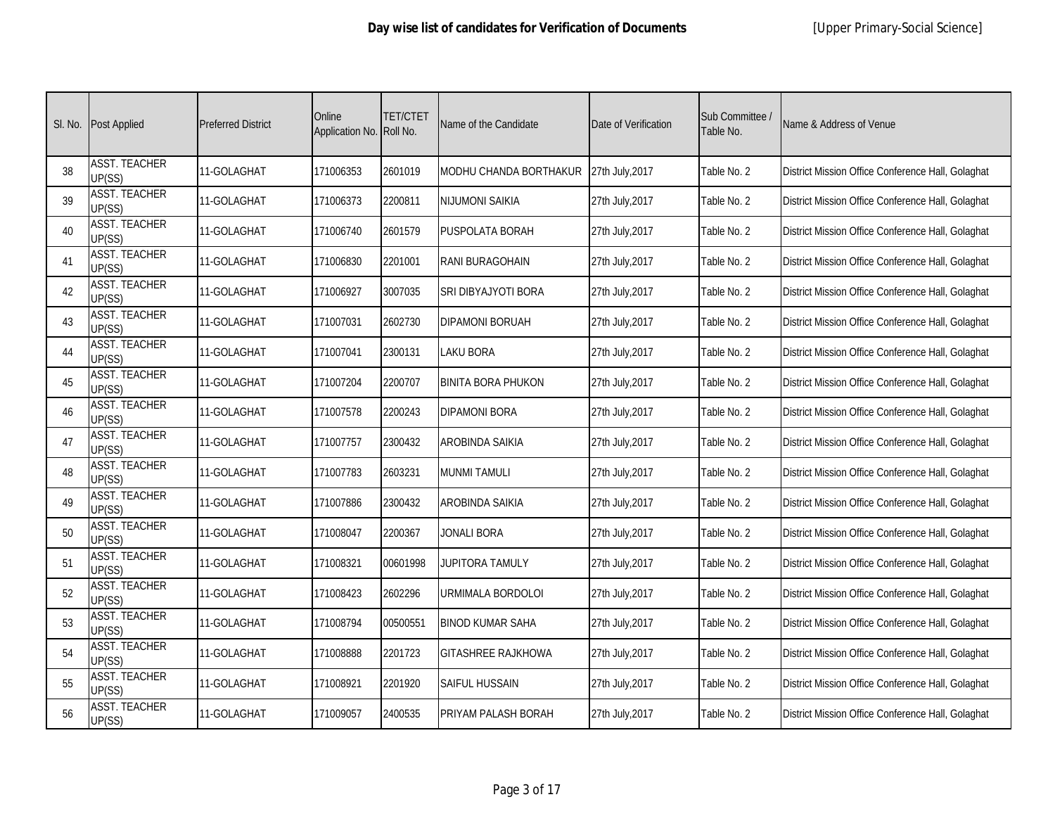|    | SI. No. Post Applied           | <b>Preferred District</b> | Online<br>Application No. Roll No. | <b>TET/CTET</b> | Name of the Candidate     | Date of Verification | Sub Committee /<br>Table No. | Name & Address of Venue                           |
|----|--------------------------------|---------------------------|------------------------------------|-----------------|---------------------------|----------------------|------------------------------|---------------------------------------------------|
| 38 | <b>ASST. TEACHER</b><br>UP(SS) | 11-GOLAGHAT               | 171006353                          | 2601019         | MODHU CHANDA BORTHAKUR    | 27th July, 2017      | Table No. 2                  | District Mission Office Conference Hall, Golaghat |
| 39 | <b>ASST. TEACHER</b><br>UP(SS) | 11-GOLAGHAT               | 171006373                          | 2200811         | NIJUMONI SAIKIA           | 27th July, 2017      | Table No. 2                  | District Mission Office Conference Hall, Golaghat |
| 40 | <b>ASST. TEACHER</b><br>UP(SS) | 11-GOLAGHAT               | 171006740                          | 2601579         | PUSPOLATA BORAH           | 27th July, 2017      | Table No. 2                  | District Mission Office Conference Hall, Golaghat |
| 41 | <b>ASST. TEACHER</b><br>UP(SS) | 11-GOLAGHAT               | 171006830                          | 2201001         | <b>RANI BURAGOHAIN</b>    | 27th July, 2017      | Table No. 2                  | District Mission Office Conference Hall, Golaghat |
| 42 | <b>ASST. TEACHER</b><br>UP(SS) | 11-GOLAGHAT               | 171006927                          | 3007035         | SRI DIBYAJYOTI BORA       | 27th July, 2017      | Table No. 2                  | District Mission Office Conference Hall, Golaghat |
| 43 | <b>ASST. TEACHER</b><br>UP(SS) | 11-GOLAGHAT               | 171007031                          | 2602730         | <b>DIPAMONI BORUAH</b>    | 27th July, 2017      | Table No. 2                  | District Mission Office Conference Hall, Golaghat |
| 44 | <b>ASST. TEACHER</b><br>UP(SS) | 11-GOLAGHAT               | 171007041                          | 2300131         | <b>LAKU BORA</b>          | 27th July, 2017      | Table No. 2                  | District Mission Office Conference Hall, Golaghat |
| 45 | <b>ASST. TEACHER</b><br>UP(SS) | 11-GOLAGHAT               | 171007204                          | 2200707         | <b>BINITA BORA PHUKON</b> | 27th July, 2017      | Table No. 2                  | District Mission Office Conference Hall, Golaghat |
| 46 | <b>ASST. TEACHER</b><br>UP(SS) | 11-GOLAGHAT               | 171007578                          | 2200243         | <b>DIPAMONI BORA</b>      | 27th July, 2017      | Table No. 2                  | District Mission Office Conference Hall, Golaghat |
| 47 | <b>ASST. TEACHER</b><br>UP(SS) | 11-GOLAGHAT               | 171007757                          | 2300432         | AROBINDA SAIKIA           | 27th July, 2017      | Table No. 2                  | District Mission Office Conference Hall, Golaghat |
| 48 | <b>ASST. TEACHER</b><br>UP(SS) | 11-GOLAGHAT               | 171007783                          | 2603231         | <b>MUNMI TAMULI</b>       | 27th July, 2017      | Table No. 2                  | District Mission Office Conference Hall, Golaghat |
| 49 | <b>ASST. TEACHER</b><br>UP(SS) | 11-GOLAGHAT               | 171007886                          | 2300432         | AROBINDA SAIKIA           | 27th July, 2017      | Table No. 2                  | District Mission Office Conference Hall, Golaghat |
| 50 | <b>ASST. TEACHER</b><br>UP(SS) | 11-GOLAGHAT               | 171008047                          | 2200367         | JONALI BORA               | 27th July, 2017      | Table No. 2                  | District Mission Office Conference Hall, Golaghat |
| 51 | <b>ASST. TEACHER</b><br>UP(SS) | 11-GOLAGHAT               | 171008321                          | 00601998        | JUPITORA TAMULY           | 27th July, 2017      | Table No. 2                  | District Mission Office Conference Hall, Golaghat |
| 52 | <b>ASST. TEACHER</b><br>UP(SS) | 11-GOLAGHAT               | 171008423                          | 2602296         | URMIMALA BORDOLOI         | 27th July, 2017      | Table No. 2                  | District Mission Office Conference Hall, Golaghat |
| 53 | <b>ASST. TEACHER</b><br>UP(SS) | 11-GOLAGHAT               | 171008794                          | 00500551        | <b>BINOD KUMAR SAHA</b>   | 27th July, 2017      | Table No. 2                  | District Mission Office Conference Hall, Golaghat |
| 54 | <b>ASST. TEACHER</b><br>UP(SS) | 11-GOLAGHAT               | 171008888                          | 2201723         | <b>GITASHREE RAJKHOWA</b> | 27th July, 2017      | Table No. 2                  | District Mission Office Conference Hall, Golaghat |
| 55 | <b>ASST. TEACHER</b><br>UP(SS) | 11-GOLAGHAT               | 171008921                          | 2201920         | SAIFUL HUSSAIN            | 27th July, 2017      | Table No. 2                  | District Mission Office Conference Hall, Golaghat |
| 56 | <b>ASST. TEACHER</b><br>UP(SS) | 11-GOLAGHAT               | 171009057                          | 2400535         | PRIYAM PALASH BORAH       | 27th July, 2017      | Table No. 2                  | District Mission Office Conference Hall, Golaghat |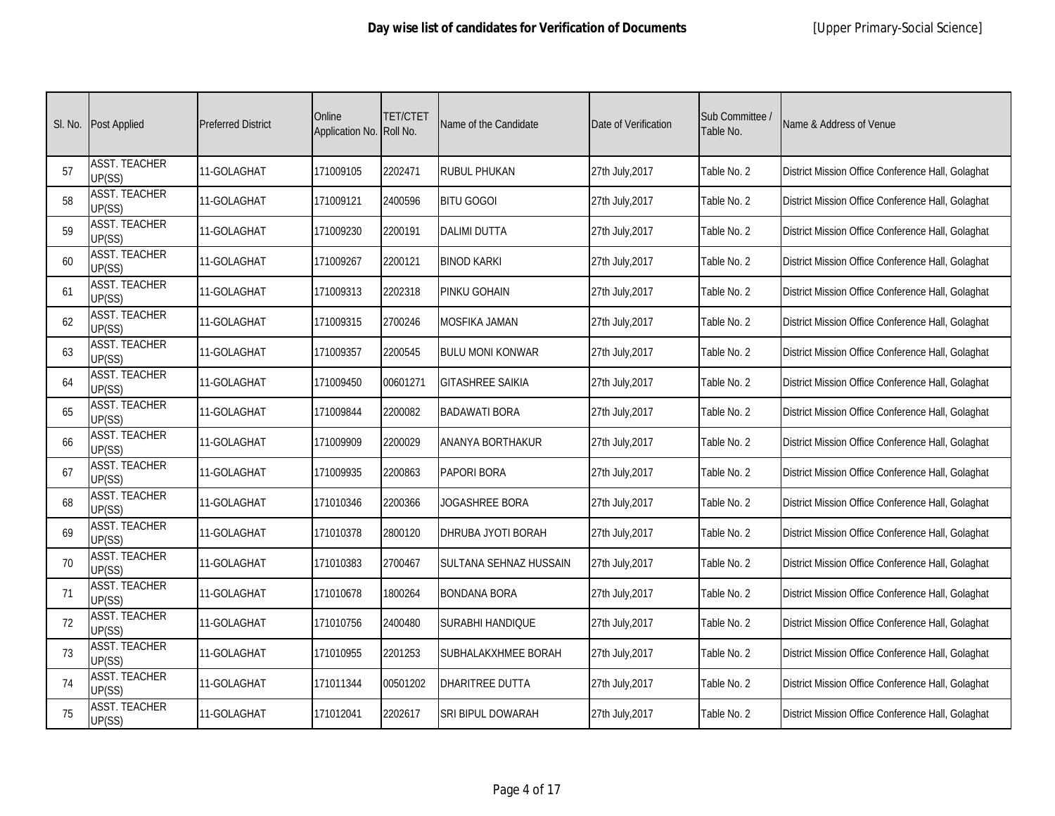|    | SI. No. Post Applied           | <b>Preferred District</b> | Online<br>Application No. Roll No. | <b>TET/CTET</b> | Name of the Candidate   | Date of Verification | Sub Committee /<br>Table No. | Name & Address of Venue                           |
|----|--------------------------------|---------------------------|------------------------------------|-----------------|-------------------------|----------------------|------------------------------|---------------------------------------------------|
| 57 | <b>ASST. TEACHER</b><br>UP(SS) | 11-GOLAGHAT               | 171009105                          | 2202471         | <b>RUBUL PHUKAN</b>     | 27th July, 2017      | Table No. 2                  | District Mission Office Conference Hall, Golaghat |
| 58 | <b>ASST. TEACHER</b><br>UP(SS) | 11-GOLAGHAT               | 171009121                          | 2400596         | <b>BITU GOGOI</b>       | 27th July, 2017      | Table No. 2                  | District Mission Office Conference Hall, Golaghat |
| 59 | <b>ASST. TEACHER</b><br>UP(SS) | 11-GOLAGHAT               | 171009230                          | 2200191         | <b>DALIMI DUTTA</b>     | 27th July, 2017      | Table No. 2                  | District Mission Office Conference Hall, Golaghat |
| 60 | <b>ASST. TEACHER</b><br>UP(SS) | 11-GOLAGHAT               | 171009267                          | 2200121         | <b>BINOD KARKI</b>      | 27th July, 2017      | Table No. 2                  | District Mission Office Conference Hall, Golaghat |
| 61 | <b>ASST. TEACHER</b><br>UP(SS) | 11-GOLAGHAT               | 171009313                          | 2202318         | PINKU GOHAIN            | 27th July, 2017      | Table No. 2                  | District Mission Office Conference Hall, Golaghat |
| 62 | <b>ASST. TEACHER</b><br>UP(SS) | 11-GOLAGHAT               | 171009315                          | 2700246         | <b>MOSFIKA JAMAN</b>    | 27th July, 2017      | Table No. 2                  | District Mission Office Conference Hall, Golaghat |
| 63 | <b>ASST. TEACHER</b><br>UP(SS) | 11-GOLAGHAT               | 171009357                          | 2200545         | <b>BULU MONI KONWAR</b> | 27th July, 2017      | Table No. 2                  | District Mission Office Conference Hall, Golaghat |
| 64 | <b>ASST. TEACHER</b><br>UP(SS) | 11-GOLAGHAT               | 171009450                          | 00601271        | <b>GITASHREE SAIKIA</b> | 27th July, 2017      | Table No. 2                  | District Mission Office Conference Hall, Golaghat |
| 65 | <b>ASST. TEACHER</b><br>UP(SS) | 11-GOLAGHAT               | 171009844                          | 2200082         | <b>BADAWATI BORA</b>    | 27th July, 2017      | Table No. 2                  | District Mission Office Conference Hall, Golaghat |
| 66 | <b>ASST. TEACHER</b><br>UP(SS) | 11-GOLAGHAT               | 171009909                          | 2200029         | ANANYA BORTHAKUR        | 27th July, 2017      | Table No. 2                  | District Mission Office Conference Hall, Golaghat |
| 67 | <b>ASST. TEACHER</b><br>UP(SS) | 11-GOLAGHAT               | 171009935                          | 2200863         | <b>PAPORI BORA</b>      | 27th July, 2017      | Table No. 2                  | District Mission Office Conference Hall, Golaghat |
| 68 | <b>ASST. TEACHER</b><br>UP(SS) | 11-GOLAGHAT               | 171010346                          | 2200366         | JOGASHREE BORA          | 27th July, 2017      | Table No. 2                  | District Mission Office Conference Hall, Golaghat |
| 69 | <b>ASST. TEACHER</b><br>UP(SS) | 11-GOLAGHAT               | 171010378                          | 2800120         | DHRUBA JYOTI BORAH      | 27th July, 2017      | Table No. 2                  | District Mission Office Conference Hall, Golaghat |
| 70 | <b>ASST. TEACHER</b><br>UP(SS) | 11-GOLAGHAT               | 171010383                          | 2700467         | SULTANA SEHNAZ HUSSAIN  | 27th July, 2017      | Table No. 2                  | District Mission Office Conference Hall, Golaghat |
| 71 | <b>ASST. TEACHER</b><br>UP(SS) | 11-GOLAGHAT               | 171010678                          | 1800264         | <b>BONDANA BORA</b>     | 27th July, 2017      | Table No. 2                  | District Mission Office Conference Hall, Golaghat |
| 72 | <b>ASST. TEACHER</b><br>UP(SS) | 11-GOLAGHAT               | 171010756                          | 2400480         | SURABHI HANDIQUE        | 27th July, 2017      | Table No. 2                  | District Mission Office Conference Hall, Golaghat |
| 73 | <b>ASST. TEACHER</b><br>UP(SS) | 11-GOLAGHAT               | 171010955                          | 2201253         | SUBHALAKXHMEE BORAH     | 27th July, 2017      | Table No. 2                  | District Mission Office Conference Hall, Golaghat |
| 74 | <b>ASST. TEACHER</b><br>UP(SS) | 11-GOLAGHAT               | 171011344                          | 00501202        | DHARITREE DUTTA         | 27th July, 2017      | Table No. 2                  | District Mission Office Conference Hall, Golaghat |
| 75 | <b>ASST. TEACHER</b><br>UP(SS) | 11-GOLAGHAT               | 171012041                          | 2202617         | SRI BIPUL DOWARAH       | 27th July, 2017      | Table No. 2                  | District Mission Office Conference Hall, Golaghat |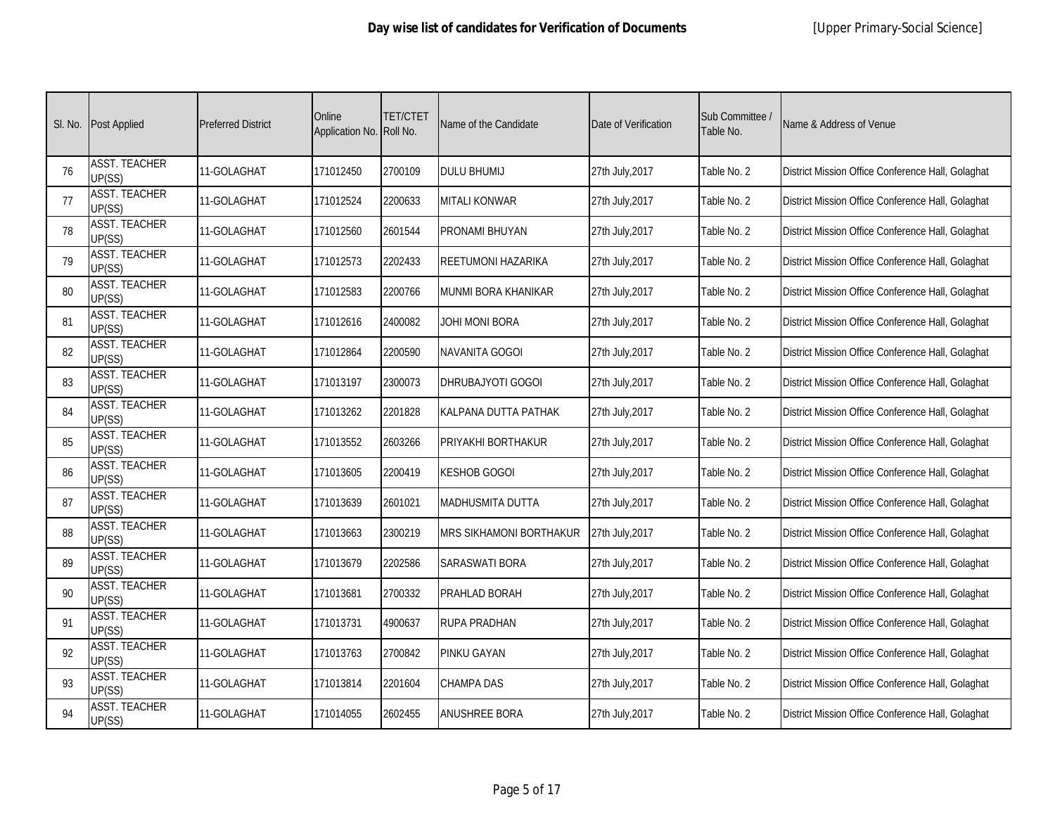| SI. No. | <b>Post Applied</b>            | <b>Preferred District</b> | Online<br>Application No. Roll No. | <b>TET/CTET</b> | Name of the Candidate      | Date of Verification | Sub Committee /<br>Table No. | Name & Address of Venue                           |
|---------|--------------------------------|---------------------------|------------------------------------|-----------------|----------------------------|----------------------|------------------------------|---------------------------------------------------|
| 76      | <b>ASST. TEACHER</b><br>UP(SS) | 11-GOLAGHAT               | 171012450                          | 2700109         | <b>DULU BHUMIJ</b>         | 27th July, 2017      | Table No. 2                  | District Mission Office Conference Hall, Golaghat |
| 77      | <b>ASST. TEACHER</b><br>UP(SS) | 11-GOLAGHAT               | 171012524                          | 2200633         | <b>MITALI KONWAR</b>       | 27th July, 2017      | Table No. 2                  | District Mission Office Conference Hall, Golaghat |
| 78      | <b>ASST. TEACHER</b><br>UP(SS) | 11-GOLAGHAT               | 171012560                          | 2601544         | <b>PRONAMI BHUYAN</b>      | 27th July, 2017      | Table No. 2                  | District Mission Office Conference Hall, Golaghat |
| 79      | <b>ASST. TEACHER</b><br>UP(SS) | 11-GOLAGHAT               | 171012573                          | 2202433         | <b>REETUMONI HAZARIKA</b>  | 27th July, 2017      | Table No. 2                  | District Mission Office Conference Hall, Golaghat |
| 80      | <b>ASST. TEACHER</b><br>UP(SS) | 11-GOLAGHAT               | 171012583                          | 2200766         | <b>MUNMI BORA KHANIKAR</b> | 27th July, 2017      | Table No. 2                  | District Mission Office Conference Hall, Golaghat |
| 81      | <b>ASST. TEACHER</b><br>UP(SS) | 11-GOLAGHAT               | 171012616                          | 2400082         | JOHI MONI BORA             | 27th July, 2017      | Table No. 2                  | District Mission Office Conference Hall, Golaghat |
| 82      | <b>ASST. TEACHER</b><br>UP(SS) | 11-GOLAGHAT               | 171012864                          | 2200590         | NAVANITA GOGOI             | 27th July, 2017      | Table No. 2                  | District Mission Office Conference Hall, Golaghat |
| 83      | <b>ASST. TEACHER</b><br>UP(SS) | 11-GOLAGHAT               | 171013197                          | 2300073         | DHRUBAJYOTI GOGOI          | 27th July, 2017      | Table No. 2                  | District Mission Office Conference Hall, Golaghat |
| 84      | <b>ASST. TEACHER</b><br>UP(SS) | 11-GOLAGHAT               | 171013262                          | 2201828         | KALPANA DUTTA PATHAK       | 27th July, 2017      | Table No. 2                  | District Mission Office Conference Hall, Golaghat |
| 85      | <b>ASST. TEACHER</b><br>UP(SS) | 11-GOLAGHAT               | 171013552                          | 2603266         | PRIYAKHI BORTHAKUR         | 27th July, 2017      | Table No. 2                  | District Mission Office Conference Hall, Golaghat |
| 86      | <b>ASST. TEACHER</b><br>UP(SS) | 11-GOLAGHAT               | 171013605                          | 2200419         | <b>KESHOB GOGOI</b>        | 27th July, 2017      | Table No. 2                  | District Mission Office Conference Hall, Golaghat |
| 87      | <b>ASST. TEACHER</b><br>UP(SS) | 11-GOLAGHAT               | 171013639                          | 2601021         | <b>MADHUSMITA DUTTA</b>    | 27th July, 2017      | Table No. 2                  | District Mission Office Conference Hall, Golaghat |
| 88      | <b>ASST. TEACHER</b><br>UP(SS) | 11-GOLAGHAT               | 171013663                          | 2300219         | MRS SIKHAMONI BORTHAKUR    | 27th July, 2017      | Table No. 2                  | District Mission Office Conference Hall, Golaghat |
| 89      | <b>ASST. TEACHER</b><br>UP(SS) | 11-GOLAGHAT               | 171013679                          | 2202586         | SARASWATI BORA             | 27th July, 2017      | Table No. 2                  | District Mission Office Conference Hall, Golaghat |
| 90      | <b>ASST. TEACHER</b><br>UP(SS) | 11-GOLAGHAT               | 171013681                          | 2700332         | PRAHLAD BORAH              | 27th July, 2017      | Table No. 2                  | District Mission Office Conference Hall, Golaghat |
| 91      | <b>ASST. TEACHER</b><br>UP(SS) | 11-GOLAGHAT               | 171013731                          | 4900637         | RUPA PRADHAN               | 27th July, 2017      | Table No. 2                  | District Mission Office Conference Hall, Golaghat |
| 92      | <b>ASST. TEACHER</b><br>UP(SS) | 11-GOLAGHAT               | 171013763                          | 2700842         | <b>PINKU GAYAN</b>         | 27th July, 2017      | Table No. 2                  | District Mission Office Conference Hall, Golaghat |
| 93      | <b>ASST. TEACHER</b><br>UP(SS) | 11-GOLAGHAT               | 171013814                          | 2201604         | CHAMPA DAS                 | 27th July, 2017      | Table No. 2                  | District Mission Office Conference Hall, Golaghat |
| 94      | <b>ASST. TEACHER</b><br>UP(SS) | 11-GOLAGHAT               | 171014055                          | 2602455         | <b>ANUSHREE BORA</b>       | 27th July, 2017      | Table No. 2                  | District Mission Office Conference Hall, Golaghat |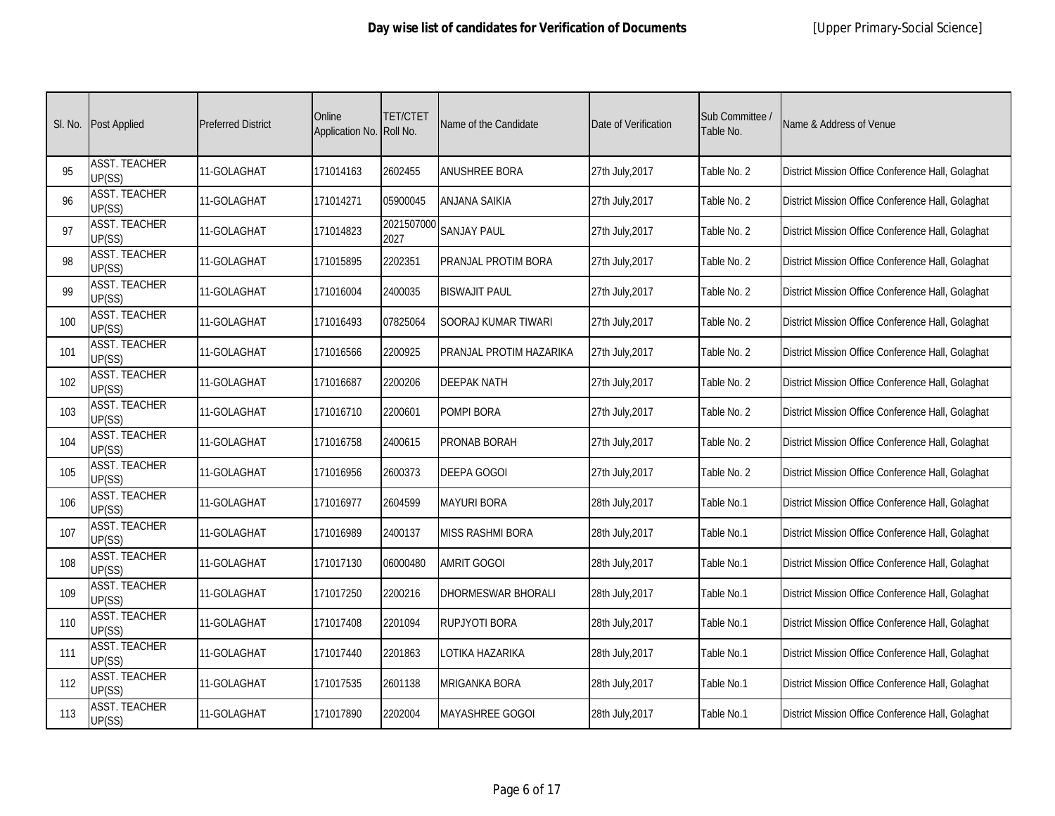| SI. No. | <b>Post Applied</b>            | <b>Preferred District</b> | Online<br>Application No. Roll No. | <b>TET/CTET</b>    | Name of the Candidate     | Date of Verification | Sub Committee /<br>Table No. | Name & Address of Venue                           |
|---------|--------------------------------|---------------------------|------------------------------------|--------------------|---------------------------|----------------------|------------------------------|---------------------------------------------------|
| 95      | <b>ASST. TEACHER</b><br>UP(SS) | 11-GOLAGHAT               | 171014163                          | 2602455            | <b>ANUSHREE BORA</b>      | 27th July, 2017      | Table No. 2                  | District Mission Office Conference Hall, Golaghat |
| 96      | <b>ASST. TEACHER</b><br>UP(SS) | 11-GOLAGHAT               | 171014271                          | 05900045           | ANJANA SAIKIA             | 27th July, 2017      | Table No. 2                  | District Mission Office Conference Hall, Golaghat |
| 97      | <b>ASST. TEACHER</b><br>UP(SS) | 11-GOLAGHAT               | 171014823                          | 2021507000<br>2027 | <b>SANJAY PAUL</b>        | 27th July, 2017      | Table No. 2                  | District Mission Office Conference Hall, Golaghat |
| 98      | <b>ASST. TEACHER</b><br>UP(SS) | 11-GOLAGHAT               | 171015895                          | 2202351            | PRANJAL PROTIM BORA       | 27th July, 2017      | Table No. 2                  | District Mission Office Conference Hall, Golaghat |
| 99      | <b>ASST. TEACHER</b><br>UP(SS) | 11-GOLAGHAT               | 171016004                          | 2400035            | <b>BISWAJIT PAUL</b>      | 27th July, 2017      | Table No. 2                  | District Mission Office Conference Hall, Golaghat |
| 100     | <b>ASST. TEACHER</b><br>UP(SS) | 11-GOLAGHAT               | 171016493                          | 07825064           | SOORAJ KUMAR TIWARI       | 27th July, 2017      | Table No. 2                  | District Mission Office Conference Hall, Golaghat |
| 101     | <b>ASST. TEACHER</b><br>UP(SS) | 11-GOLAGHAT               | 171016566                          | 2200925            | PRANJAL PROTIM HAZARIKA   | 27th July, 2017      | Table No. 2                  | District Mission Office Conference Hall, Golaghat |
| 102     | <b>ASST. TEACHER</b><br>UP(SS) | 11-GOLAGHAT               | 171016687                          | 2200206            | <b>DEEPAK NATH</b>        | 27th July, 2017      | Table No. 2                  | District Mission Office Conference Hall, Golaghat |
| 103     | <b>ASST. TEACHER</b><br>UP(SS) | 11-GOLAGHAT               | 171016710                          | 2200601            | POMPI BORA                | 27th July, 2017      | Table No. 2                  | District Mission Office Conference Hall, Golaghat |
| 104     | <b>ASST. TEACHER</b><br>UP(SS) | 11-GOLAGHAT               | 171016758                          | 2400615            | PRONAB BORAH              | 27th July, 2017      | Table No. 2                  | District Mission Office Conference Hall, Golaghat |
| 105     | <b>ASST. TEACHER</b><br>UP(SS) | 11-GOLAGHAT               | 171016956                          | 2600373            | <b>DEEPA GOGOI</b>        | 27th July, 2017      | Table No. 2                  | District Mission Office Conference Hall, Golaghat |
| 106     | <b>ASST. TEACHER</b><br>UP(SS) | 11-GOLAGHAT               | 171016977                          | 2604599            | <b>MAYURI BORA</b>        | 28th July, 2017      | Table No.1                   | District Mission Office Conference Hall, Golaghat |
| 107     | <b>ASST. TEACHER</b><br>UP(SS) | 11-GOLAGHAT               | 171016989                          | 2400137            | <b>MISS RASHMI BORA</b>   | 28th July, 2017      | Table No.1                   | District Mission Office Conference Hall, Golaghat |
| 108     | <b>ASST. TEACHER</b><br>UP(SS) | 11-GOLAGHAT               | 171017130                          | 06000480           | AMRIT GOGOI               | 28th July, 2017      | Table No.1                   | District Mission Office Conference Hall, Golaghat |
| 109     | <b>ASST. TEACHER</b><br>UP(SS) | 11-GOLAGHAT               | 171017250                          | 2200216            | <b>DHORMESWAR BHORALI</b> | 28th July, 2017      | Table No.1                   | District Mission Office Conference Hall, Golaghat |
| 110     | <b>ASST. TEACHER</b><br>UP(SS) | 11-GOLAGHAT               | 171017408                          | 2201094            | RUPJYOTI BORA             | 28th July, 2017      | Table No.1                   | District Mission Office Conference Hall, Golaghat |
| 111     | <b>ASST. TEACHER</b><br>UP(SS) | 11-GOLAGHAT               | 171017440                          | 2201863            | LOTIKA HAZARIKA           | 28th July, 2017      | Table No.1                   | District Mission Office Conference Hall, Golaghat |
| 112     | <b>ASST. TEACHER</b><br>UP(SS) | 11-GOLAGHAT               | 171017535                          | 2601138            | <b>MRIGANKA BORA</b>      | 28th July, 2017      | Table No.1                   | District Mission Office Conference Hall, Golaghat |
| 113     | <b>ASST. TEACHER</b><br>UP(SS) | 11-GOLAGHAT               | 171017890                          | 2202004            | <b>MAYASHREE GOGOI</b>    | 28th July, 2017      | Table No.1                   | District Mission Office Conference Hall, Golaghat |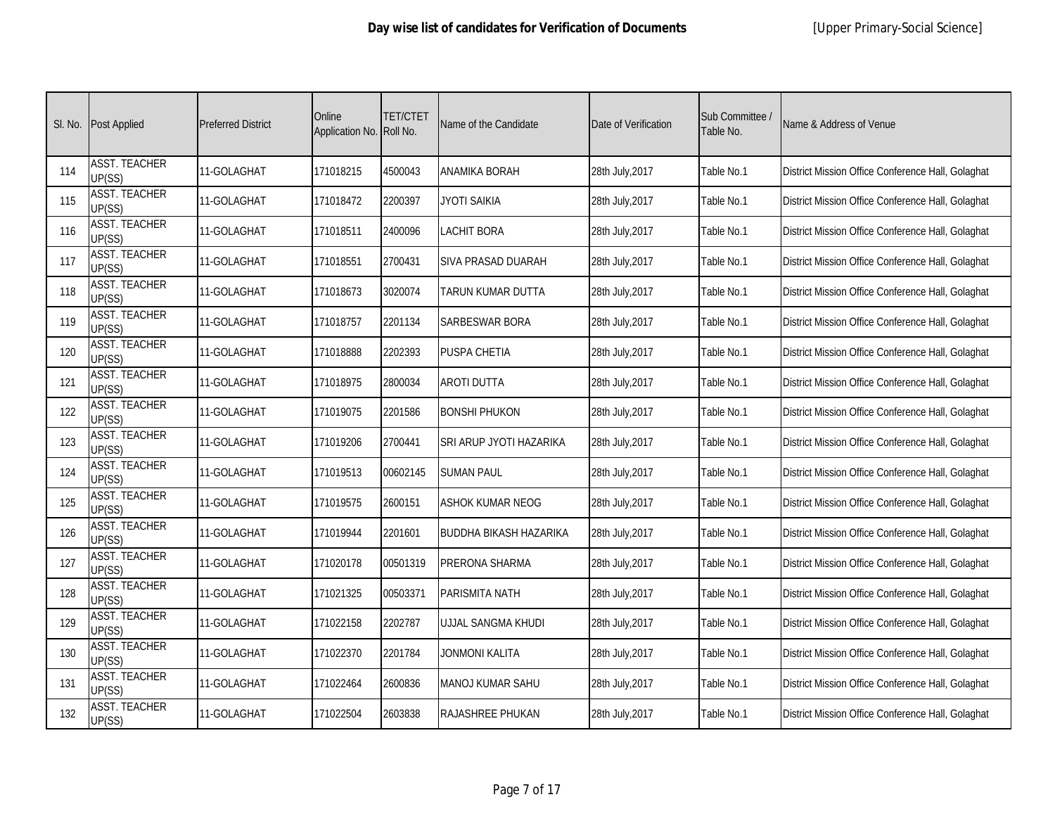|     | SI. No. Post Applied           | <b>Preferred District</b> | Online<br>Application No. Roll No. | <b>TET/CTET</b> | Name of the Candidate   | Date of Verification | Sub Committee /<br>Table No. | Name & Address of Venue                           |
|-----|--------------------------------|---------------------------|------------------------------------|-----------------|-------------------------|----------------------|------------------------------|---------------------------------------------------|
| 114 | <b>ASST. TEACHER</b><br>UP(SS) | 11-GOLAGHAT               | 171018215                          | 4500043         | ANAMIKA BORAH           | 28th July, 2017      | Table No.1                   | District Mission Office Conference Hall, Golaghat |
| 115 | <b>ASST. TEACHER</b><br>UP(SS) | 11-GOLAGHAT               | 171018472                          | 2200397         | JYOTI SAIKIA            | 28th July, 2017      | Table No.1                   | District Mission Office Conference Hall, Golaghat |
| 116 | <b>ASST. TEACHER</b><br>UP(SS) | 11-GOLAGHAT               | 171018511                          | 2400096         | <b>LACHIT BORA</b>      | 28th July, 2017      | Table No.1                   | District Mission Office Conference Hall, Golaghat |
| 117 | <b>ASST. TEACHER</b><br>UP(SS) | 11-GOLAGHAT               | 171018551                          | 2700431         | SIVA PRASAD DUARAH      | 28th July, 2017      | Table No.1                   | District Mission Office Conference Hall, Golaghat |
| 118 | <b>ASST. TEACHER</b><br>UP(SS) | 11-GOLAGHAT               | 171018673                          | 3020074         | TARUN KUMAR DUTTA       | 28th July, 2017      | Table No.1                   | District Mission Office Conference Hall, Golaghat |
| 119 | <b>ASST. TEACHER</b><br>UP(SS) | 11-GOLAGHAT               | 171018757                          | 2201134         | SARBESWAR BORA          | 28th July, 2017      | Table No.1                   | District Mission Office Conference Hall, Golaghat |
| 120 | <b>ASST. TEACHER</b><br>UP(SS) | 11-GOLAGHAT               | 171018888                          | 2202393         | <b>PUSPA CHETIA</b>     | 28th July, 2017      | Table No.1                   | District Mission Office Conference Hall, Golaghat |
| 121 | <b>ASST. TEACHER</b><br>UP(SS) | 11-GOLAGHAT               | 171018975                          | 2800034         | <b>AROTI DUTTA</b>      | 28th July, 2017      | Table No.1                   | District Mission Office Conference Hall, Golaghat |
| 122 | <b>ASST. TEACHER</b><br>UP(SS) | 11-GOLAGHAT               | 171019075                          | 2201586         | <b>BONSHI PHUKON</b>    | 28th July, 2017      | Table No.1                   | District Mission Office Conference Hall, Golaghat |
| 123 | <b>ASST. TEACHER</b><br>UP(SS) | 11-GOLAGHAT               | 171019206                          | 2700441         | SRI ARUP JYOTI HAZARIKA | 28th July, 2017      | Table No.1                   | District Mission Office Conference Hall, Golaghat |
| 124 | <b>ASST. TEACHER</b><br>UP(SS) | 11-GOLAGHAT               | 171019513                          | 00602145        | <b>SUMAN PAUL</b>       | 28th July, 2017      | Table No.1                   | District Mission Office Conference Hall, Golaghat |
| 125 | <b>ASST. TEACHER</b><br>UP(SS) | 11-GOLAGHAT               | 171019575                          | 2600151         | ASHOK KUMAR NEOG        | 28th July, 2017      | Table No.1                   | District Mission Office Conference Hall, Golaghat |
| 126 | <b>ASST. TEACHER</b><br>UP(SS) | 11-GOLAGHAT               | 171019944                          | 2201601         | BUDDHA BIKASH HAZARIKA  | 28th July, 2017      | Table No.1                   | District Mission Office Conference Hall, Golaghat |
| 127 | <b>ASST. TEACHER</b><br>UP(SS) | 11-GOLAGHAT               | 171020178                          | 00501319        | PRERONA SHARMA          | 28th July, 2017      | Table No.1                   | District Mission Office Conference Hall, Golaghat |
| 128 | <b>ASST. TEACHER</b><br>UP(SS) | 11-GOLAGHAT               | 171021325                          | 00503371        | <b>PARISMITA NATH</b>   | 28th July, 2017      | Table No.1                   | District Mission Office Conference Hall, Golaghat |
| 129 | <b>ASST. TEACHER</b><br>UP(SS) | 11-GOLAGHAT               | 171022158                          | 2202787         | UJJAL SANGMA KHUDI      | 28th July, 2017      | Table No.1                   | District Mission Office Conference Hall, Golaghat |
| 130 | <b>ASST. TEACHER</b><br>UP(SS) | 11-GOLAGHAT               | 171022370                          | 2201784         | JONMONI KALITA          | 28th July, 2017      | Table No.1                   | District Mission Office Conference Hall, Golaghat |
| 131 | <b>ASST. TEACHER</b><br>UP(SS) | 11-GOLAGHAT               | 171022464                          | 2600836         | <b>MANOJ KUMAR SAHU</b> | 28th July, 2017      | Table No.1                   | District Mission Office Conference Hall, Golaghat |
| 132 | <b>ASST. TEACHER</b><br>UP(SS) | 11-GOLAGHAT               | 171022504                          | 2603838         | <b>RAJASHREE PHUKAN</b> | 28th July, 2017      | Table No.1                   | District Mission Office Conference Hall, Golaghat |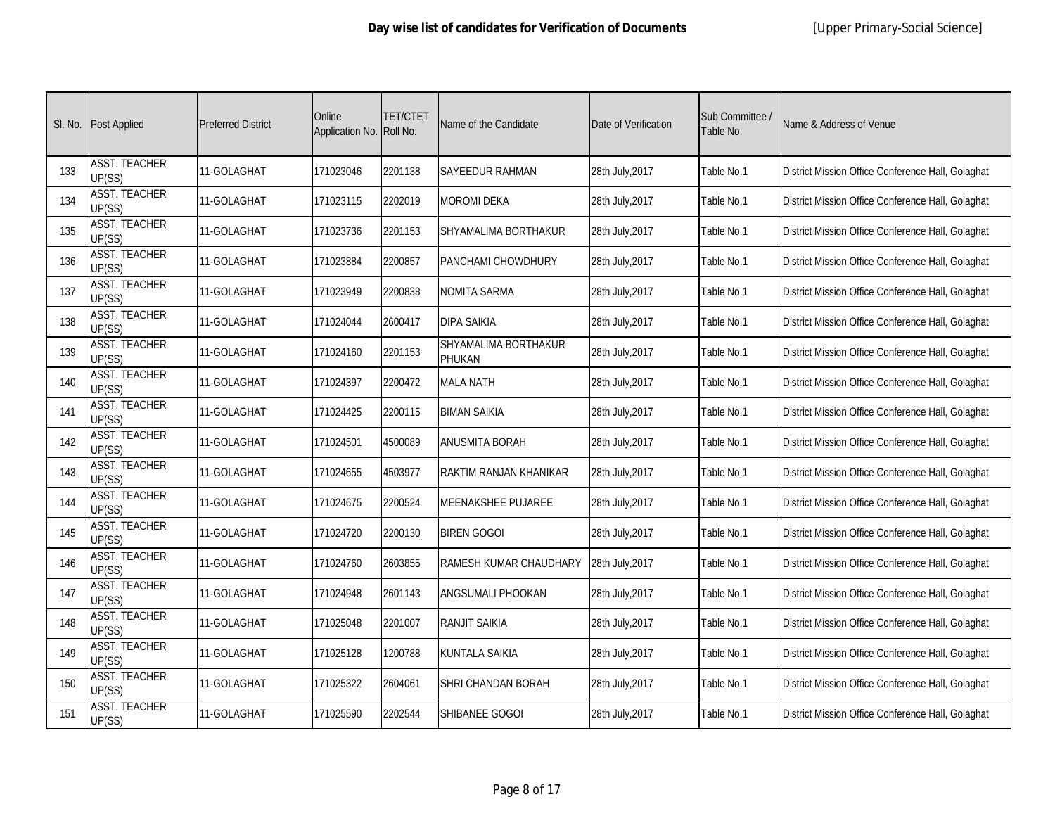|     | SI. No. Post Applied           | <b>Preferred District</b> | Online<br>Application No. Roll No. | <b>TET/CTET</b> | Name of the Candidate          | Date of Verification | Sub Committee /<br>Table No. | Name & Address of Venue                           |
|-----|--------------------------------|---------------------------|------------------------------------|-----------------|--------------------------------|----------------------|------------------------------|---------------------------------------------------|
| 133 | <b>ASST. TEACHER</b><br>UP(SS) | 11-GOLAGHAT               | 171023046                          | 2201138         | SAYEEDUR RAHMAN                | 28th July, 2017      | Table No.1                   | District Mission Office Conference Hall, Golaghat |
| 134 | <b>ASST. TEACHER</b><br>UP(SS) | 11-GOLAGHAT               | 171023115                          | 2202019         | <b>MOROMI DEKA</b>             | 28th July, 2017      | Table No.1                   | District Mission Office Conference Hall, Golaghat |
| 135 | <b>ASST. TEACHER</b><br>UP(SS) | 11-GOLAGHAT               | 171023736                          | 2201153         | SHYAMALIMA BORTHAKUR           | 28th July, 2017      | Table No.1                   | District Mission Office Conference Hall, Golaghat |
| 136 | <b>ASST. TEACHER</b><br>UP(SS) | 11-GOLAGHAT               | 171023884                          | 2200857         | PANCHAMI CHOWDHURY             | 28th July, 2017      | Table No.1                   | District Mission Office Conference Hall, Golaghat |
| 137 | <b>ASST. TEACHER</b><br>UP(SS) | 11-GOLAGHAT               | 171023949                          | 2200838         | <b>NOMITA SARMA</b>            | 28th July, 2017      | Table No.1                   | District Mission Office Conference Hall, Golaghat |
| 138 | <b>ASST. TEACHER</b><br>UP(SS) | 11-GOLAGHAT               | 171024044                          | 2600417         | <b>DIPA SAIKIA</b>             | 28th July, 2017      | Table No.1                   | District Mission Office Conference Hall, Golaghat |
| 139 | <b>ASST. TEACHER</b><br>UP(SS) | 11-GOLAGHAT               | 171024160                          | 2201153         | SHYAMALIMA BORTHAKUR<br>PHUKAN | 28th July, 2017      | Table No.1                   | District Mission Office Conference Hall, Golaghat |
| 140 | <b>ASST. TEACHER</b><br>UP(SS) | 11-GOLAGHAT               | 171024397                          | 2200472         | <b>MALA NATH</b>               | 28th July, 2017      | Table No.1                   | District Mission Office Conference Hall, Golaghat |
| 141 | <b>ASST. TEACHER</b><br>UP(SS) | 11-GOLAGHAT               | 171024425                          | 2200115         | <b>BIMAN SAIKIA</b>            | 28th July, 2017      | Table No.1                   | District Mission Office Conference Hall, Golaghat |
| 142 | <b>ASST. TEACHER</b><br>UP(SS) | 11-GOLAGHAT               | 171024501                          | 4500089         | ANUSMITA BORAH                 | 28th July, 2017      | Table No.1                   | District Mission Office Conference Hall, Golaghat |
| 143 | <b>ASST. TEACHER</b><br>UP(SS) | 11-GOLAGHAT               | 171024655                          | 4503977         | RAKTIM RANJAN KHANIKAR         | 28th July, 2017      | Table No.1                   | District Mission Office Conference Hall, Golaghat |
| 144 | <b>ASST. TEACHER</b><br>UP(SS) | 11-GOLAGHAT               | 171024675                          | 2200524         | <b>MEENAKSHEE PUJAREE</b>      | 28th July, 2017      | Table No.1                   | District Mission Office Conference Hall, Golaghat |
| 145 | <b>ASST. TEACHER</b><br>UP(SS) | 11-GOLAGHAT               | 171024720                          | 2200130         | <b>BIREN GOGOI</b>             | 28th July, 2017      | Table No.1                   | District Mission Office Conference Hall, Golaghat |
| 146 | <b>ASST. TEACHER</b><br>UP(SS) | 11-GOLAGHAT               | 171024760                          | 2603855         | RAMESH KUMAR CHAUDHARY         | 28th July, 2017      | Table No.1                   | District Mission Office Conference Hall, Golaghat |
| 147 | <b>ASST. TEACHER</b><br>UP(SS) | 11-GOLAGHAT               | 171024948                          | 2601143         | <b>ANGSUMALI PHOOKAN</b>       | 28th July, 2017      | Table No.1                   | District Mission Office Conference Hall, Golaghat |
| 148 | <b>ASST. TEACHER</b><br>UP(SS) | 11-GOLAGHAT               | 171025048                          | 2201007         | RANJIT SAIKIA                  | 28th July, 2017      | Table No.1                   | District Mission Office Conference Hall, Golaghat |
| 149 | <b>ASST. TEACHER</b><br>UP(SS) | 11-GOLAGHAT               | 171025128                          | 1200788         | <b>KUNTALA SAIKIA</b>          | 28th July, 2017      | Table No.1                   | District Mission Office Conference Hall, Golaghat |
| 150 | <b>ASST. TEACHER</b><br>UP(SS) | 11-GOLAGHAT               | 171025322                          | 2604061         | SHRI CHANDAN BORAH             | 28th July, 2017      | Table No.1                   | District Mission Office Conference Hall, Golaghat |
| 151 | <b>ASST. TEACHER</b><br>UP(SS) | 11-GOLAGHAT               | 171025590                          | 2202544         | SHIBANEE GOGOI                 | 28th July, 2017      | Table No.1                   | District Mission Office Conference Hall, Golaghat |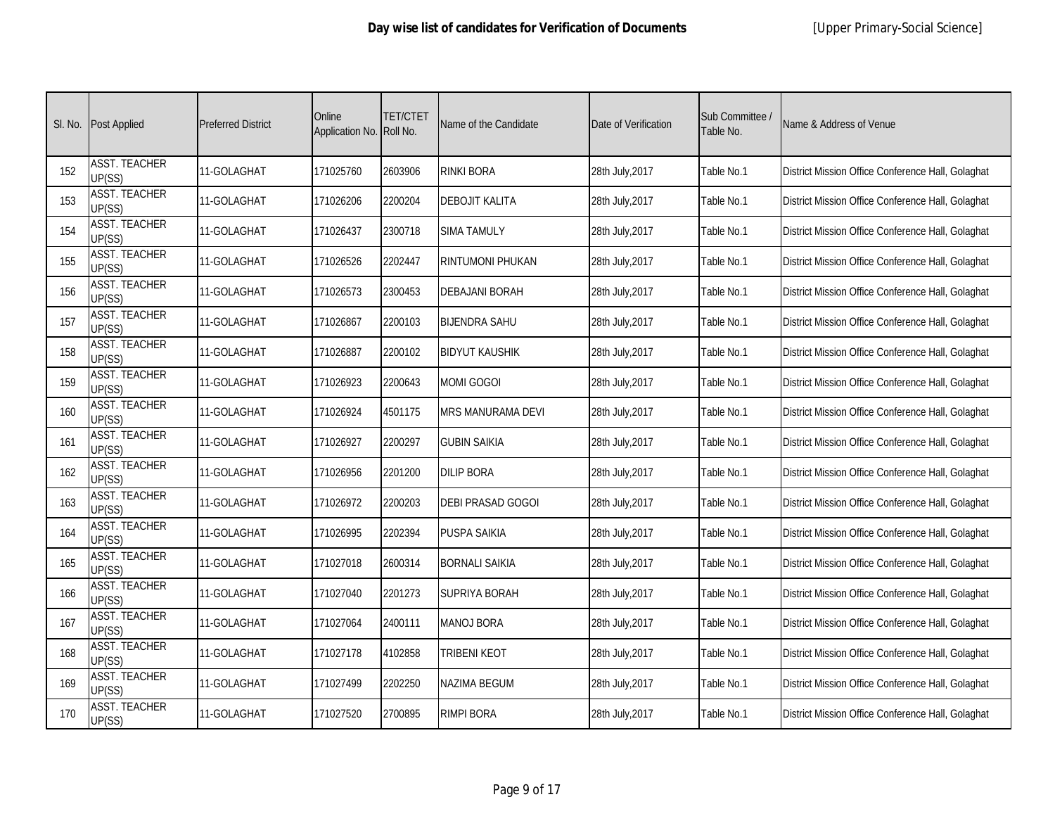| SI. No. | <b>Post Applied</b>            | <b>Preferred District</b> | Online<br>Application No. Roll No. | <b>TET/CTET</b> | Name of the Candidate    | Date of Verification | Sub Committee /<br>Table No. | Name & Address of Venue                           |
|---------|--------------------------------|---------------------------|------------------------------------|-----------------|--------------------------|----------------------|------------------------------|---------------------------------------------------|
| 152     | <b>ASST. TEACHER</b><br>UP(SS) | 11-GOLAGHAT               | 171025760                          | 2603906         | <b>RINKI BORA</b>        | 28th July, 2017      | Table No.1                   | District Mission Office Conference Hall, Golaghat |
| 153     | <b>ASST. TEACHER</b><br>UP(SS) | 11-GOLAGHAT               | 171026206                          | 2200204         | <b>DEBOJIT KALITA</b>    | 28th July, 2017      | Table No.1                   | District Mission Office Conference Hall, Golaghat |
| 154     | <b>ASST. TEACHER</b><br>UP(SS) | 11-GOLAGHAT               | 171026437                          | 2300718         | <b>SIMA TAMULY</b>       | 28th July, 2017      | Table No.1                   | District Mission Office Conference Hall, Golaghat |
| 155     | <b>ASST. TEACHER</b><br>UP(SS) | 11-GOLAGHAT               | 171026526                          | 2202447         | <b>RINTUMONI PHUKAN</b>  | 28th July, 2017      | Table No.1                   | District Mission Office Conference Hall, Golaghat |
| 156     | <b>ASST. TEACHER</b><br>UP(SS) | 11-GOLAGHAT               | 171026573                          | 2300453         | <b>DEBAJANI BORAH</b>    | 28th July, 2017      | Table No.1                   | District Mission Office Conference Hall, Golaghat |
| 157     | <b>ASST. TEACHER</b><br>UP(SS) | 11-GOLAGHAT               | 171026867                          | 2200103         | <b>BIJENDRA SAHU</b>     | 28th July, 2017      | Table No.1                   | District Mission Office Conference Hall, Golaghat |
| 158     | <b>ASST. TEACHER</b><br>UP(SS) | 11-GOLAGHAT               | 171026887                          | 2200102         | <b>BIDYUT KAUSHIK</b>    | 28th July, 2017      | Table No.1                   | District Mission Office Conference Hall, Golaghat |
| 159     | <b>ASST. TEACHER</b><br>UP(SS) | 11-GOLAGHAT               | 171026923                          | 2200643         | <b>MOMI GOGOI</b>        | 28th July, 2017      | Table No.1                   | District Mission Office Conference Hall, Golaghat |
| 160     | <b>ASST. TEACHER</b><br>UP(SS) | 11-GOLAGHAT               | 171026924                          | 4501175         | <b>MRS MANURAMA DEVI</b> | 28th July, 2017      | Table No.1                   | District Mission Office Conference Hall, Golaghat |
| 161     | <b>ASST. TEACHER</b><br>UP(SS) | 11-GOLAGHAT               | 171026927                          | 2200297         | <b>GUBIN SAIKIA</b>      | 28th July, 2017      | Table No.1                   | District Mission Office Conference Hall, Golaghat |
| 162     | <b>ASST. TEACHER</b><br>UP(SS) | 11-GOLAGHAT               | 171026956                          | 2201200         | <b>DILIP BORA</b>        | 28th July, 2017      | Table No.1                   | District Mission Office Conference Hall, Golaghat |
| 163     | <b>ASST. TEACHER</b><br>UP(SS) | 11-GOLAGHAT               | 171026972                          | 2200203         | DEBI PRASAD GOGOI        | 28th July, 2017      | Table No.1                   | District Mission Office Conference Hall, Golaghat |
| 164     | <b>ASST. TEACHER</b><br>UP(SS) | 11-GOLAGHAT               | 171026995                          | 2202394         | <b>PUSPA SAIKIA</b>      | 28th July, 2017      | Table No.1                   | District Mission Office Conference Hall, Golaghat |
| 165     | <b>ASST. TEACHER</b><br>UP(SS) | 11-GOLAGHAT               | 171027018                          | 2600314         | <b>BORNALI SAIKIA</b>    | 28th July, 2017      | Table No.1                   | District Mission Office Conference Hall, Golaghat |
| 166     | <b>ASST. TEACHER</b><br>UP(SS) | 11-GOLAGHAT               | 171027040                          | 2201273         | <b>SUPRIYA BORAH</b>     | 28th July, 2017      | Table No.1                   | District Mission Office Conference Hall, Golaghat |
| 167     | <b>ASST. TEACHER</b><br>UP(SS) | 11-GOLAGHAT               | 171027064                          | 2400111         | <b>MANOJ BORA</b>        | 28th July, 2017      | Table No.1                   | District Mission Office Conference Hall, Golaghat |
| 168     | <b>ASST. TEACHER</b><br>UP(SS) | 11-GOLAGHAT               | 171027178                          | 4102858         | TRIBENI KEOT             | 28th July, 2017      | Table No.1                   | District Mission Office Conference Hall, Golaghat |
| 169     | <b>ASST. TEACHER</b><br>UP(SS) | 11-GOLAGHAT               | 171027499                          | 2202250         | NAZIMA BEGUM             | 28th July, 2017      | Table No.1                   | District Mission Office Conference Hall, Golaghat |
| 170     | <b>ASST. TEACHER</b><br>UP(SS) | 11-GOLAGHAT               | 171027520                          | 2700895         | <b>RIMPI BORA</b>        | 28th July, 2017      | Table No.1                   | District Mission Office Conference Hall, Golaghat |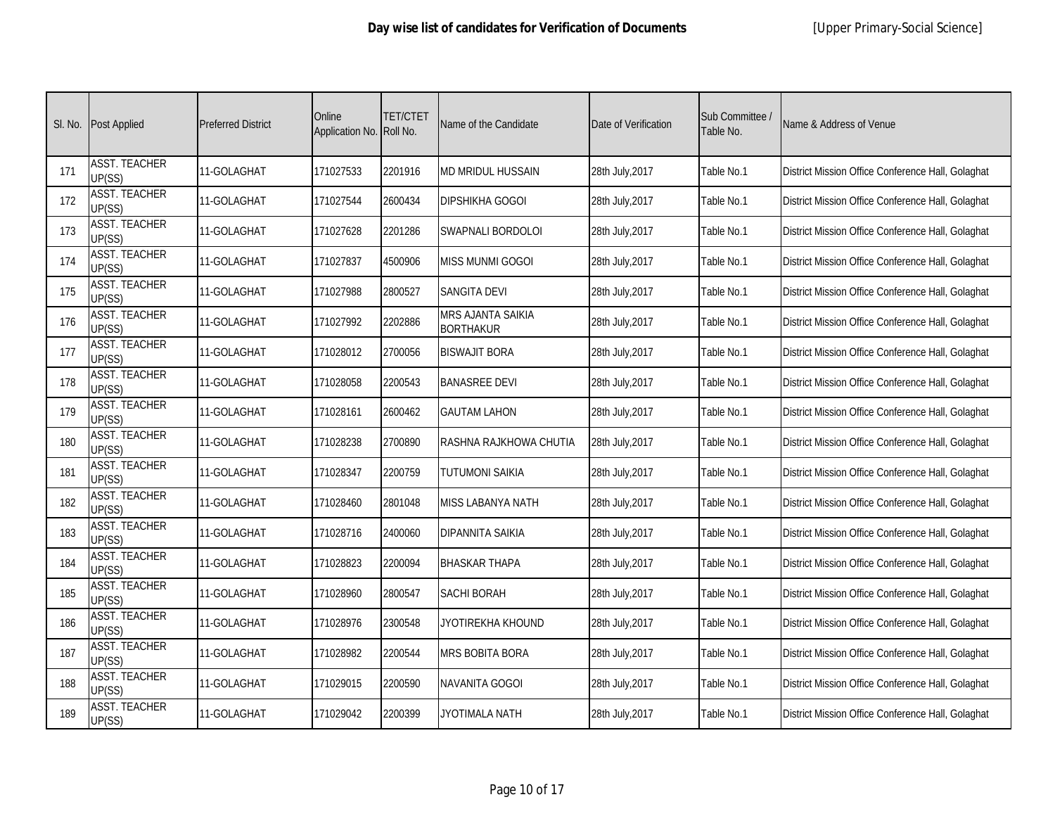|     | SI. No. Post Applied           | <b>Preferred District</b> | Online<br>Application No. Roll No. | <b>TET/CTET</b> | Name of the Candidate                 | Date of Verification | Sub Committee /<br>Table No. | Name & Address of Venue                           |
|-----|--------------------------------|---------------------------|------------------------------------|-----------------|---------------------------------------|----------------------|------------------------------|---------------------------------------------------|
| 171 | <b>ASST. TEACHER</b><br>UP(SS) | 11-GOLAGHAT               | 171027533                          | 2201916         | <b>MD MRIDUL HUSSAIN</b>              | 28th July, 2017      | Table No.1                   | District Mission Office Conference Hall, Golaghat |
| 172 | <b>ASST. TEACHER</b><br>UP(SS) | 11-GOLAGHAT               | 171027544                          | 2600434         | <b>DIPSHIKHA GOGOI</b>                | 28th July, 2017      | Table No.1                   | District Mission Office Conference Hall, Golaghat |
| 173 | <b>ASST. TEACHER</b><br>UP(SS) | 11-GOLAGHAT               | 171027628                          | 2201286         | SWAPNALI BORDOLOI                     | 28th July, 2017      | Table No.1                   | District Mission Office Conference Hall, Golaghat |
| 174 | <b>ASST. TEACHER</b><br>UP(SS) | 11-GOLAGHAT               | 171027837                          | 4500906         | <b>MISS MUNMI GOGOI</b>               | 28th July, 2017      | Table No.1                   | District Mission Office Conference Hall, Golaghat |
| 175 | <b>ASST. TEACHER</b><br>UP(SS) | 11-GOLAGHAT               | 171027988                          | 2800527         | <b>SANGITA DEVI</b>                   | 28th July, 2017      | Table No.1                   | District Mission Office Conference Hall, Golaghat |
| 176 | <b>ASST. TEACHER</b><br>UP(SS) | 11-GOLAGHAT               | 171027992                          | 2202886         | MRS AJANTA SAIKIA<br><b>BORTHAKUR</b> | 28th July, 2017      | Table No.1                   | District Mission Office Conference Hall, Golaghat |
| 177 | <b>ASST. TEACHER</b><br>UP(SS) | 11-GOLAGHAT               | 171028012                          | 2700056         | <b>BISWAJIT BORA</b>                  | 28th July, 2017      | Table No.1                   | District Mission Office Conference Hall, Golaghat |
| 178 | <b>ASST. TEACHER</b><br>UP(SS) | 11-GOLAGHAT               | 171028058                          | 2200543         | <b>BANASREE DEVI</b>                  | 28th July, 2017      | Table No.1                   | District Mission Office Conference Hall, Golaghat |
| 179 | <b>ASST. TEACHER</b><br>UP(SS) | 11-GOLAGHAT               | 171028161                          | 2600462         | <b>GAUTAM LAHON</b>                   | 28th July, 2017      | Table No.1                   | District Mission Office Conference Hall, Golaghat |
| 180 | <b>ASST. TEACHER</b><br>UP(SS) | 11-GOLAGHAT               | 171028238                          | 2700890         | RASHNA RAJKHOWA CHUTIA                | 28th July, 2017      | Table No.1                   | District Mission Office Conference Hall, Golaghat |
| 181 | <b>ASST. TEACHER</b><br>UP(SS) | 11-GOLAGHAT               | 171028347                          | 2200759         | <b>TUTUMONI SAIKIA</b>                | 28th July, 2017      | Table No.1                   | District Mission Office Conference Hall, Golaghat |
| 182 | <b>ASST. TEACHER</b><br>UP(SS) | 11-GOLAGHAT               | 171028460                          | 2801048         | MISS LABANYA NATH                     | 28th July, 2017      | Table No.1                   | District Mission Office Conference Hall, Golaghat |
| 183 | <b>ASST. TEACHER</b><br>UP(SS) | 11-GOLAGHAT               | 171028716                          | 2400060         | <b>DIPANNITA SAIKIA</b>               | 28th July, 2017      | Table No.1                   | District Mission Office Conference Hall, Golaghat |
| 184 | <b>ASST. TEACHER</b><br>UP(SS) | 11-GOLAGHAT               | 171028823                          | 2200094         | <b>BHASKAR THAPA</b>                  | 28th July, 2017      | Table No.1                   | District Mission Office Conference Hall, Golaghat |
| 185 | <b>ASST. TEACHER</b><br>UP(SS) | 11-GOLAGHAT               | 171028960                          | 2800547         | <b>SACHI BORAH</b>                    | 28th July, 2017      | Table No.1                   | District Mission Office Conference Hall, Golaghat |
| 186 | <b>ASST. TEACHER</b><br>UP(SS) | 11-GOLAGHAT               | 171028976                          | 2300548         | JYOTIREKHA KHOUND                     | 28th July, 2017      | Table No.1                   | District Mission Office Conference Hall, Golaghat |
| 187 | <b>ASST. TEACHER</b><br>UP(SS) | 11-GOLAGHAT               | 171028982                          | 2200544         | <b>MRS BOBITA BORA</b>                | 28th July, 2017      | Table No.1                   | District Mission Office Conference Hall, Golaghat |
| 188 | <b>ASST. TEACHER</b><br>UP(SS) | 11-GOLAGHAT               | 171029015                          | 2200590         | NAVANITA GOGOI                        | 28th July, 2017      | Table No.1                   | District Mission Office Conference Hall, Golaghat |
| 189 | <b>ASST. TEACHER</b><br>UP(SS) | 11-GOLAGHAT               | 171029042                          | 2200399         | JYOTIMALA NATH                        | 28th July, 2017      | Table No.1                   | District Mission Office Conference Hall, Golaghat |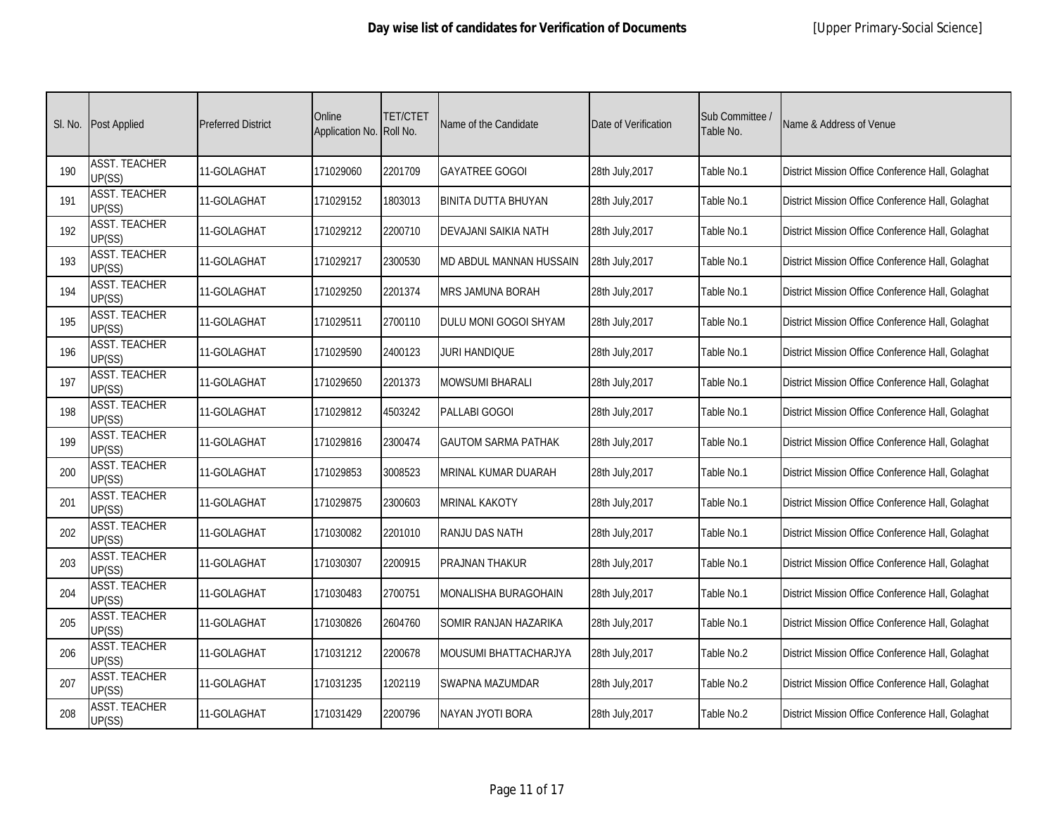| SI. No. | <b>Post Applied</b>            | <b>Preferred District</b> | Online<br>Application No. Roll No. | <b>TET/CTET</b> | Name of the Candidate       | Date of Verification | Sub Committee /<br>Table No. | Name & Address of Venue                           |
|---------|--------------------------------|---------------------------|------------------------------------|-----------------|-----------------------------|----------------------|------------------------------|---------------------------------------------------|
| 190     | <b>ASST. TEACHER</b><br>UP(SS) | 11-GOLAGHAT               | 171029060                          | 2201709         | <b>GAYATREE GOGOI</b>       | 28th July, 2017      | Table No.1                   | District Mission Office Conference Hall, Golaghat |
| 191     | <b>ASST. TEACHER</b><br>UP(SS) | 11-GOLAGHAT               | 171029152                          | 1803013         | BINITA DUTTA BHUYAN         | 28th July, 2017      | Table No.1                   | District Mission Office Conference Hall, Golaghat |
| 192     | <b>ASST. TEACHER</b><br>UP(SS) | 11-GOLAGHAT               | 171029212                          | 2200710         | DEVAJANI SAIKIA NATH        | 28th July, 2017      | Table No.1                   | District Mission Office Conference Hall, Golaghat |
| 193     | <b>ASST. TEACHER</b><br>UP(SS) | 11-GOLAGHAT               | 171029217                          | 2300530         | MD ABDUL MANNAN HUSSAIN     | 28th July, 2017      | Table No.1                   | District Mission Office Conference Hall, Golaghat |
| 194     | <b>ASST. TEACHER</b><br>UP(SS) | 11-GOLAGHAT               | 171029250                          | 2201374         | <b>MRS JAMUNA BORAH</b>     | 28th July, 2017      | Table No.1                   | District Mission Office Conference Hall, Golaghat |
| 195     | <b>ASST. TEACHER</b><br>UP(SS) | 11-GOLAGHAT               | 171029511                          | 2700110         | DULU MONI GOGOI SHYAM       | 28th July, 2017      | Table No.1                   | District Mission Office Conference Hall, Golaghat |
| 196     | <b>ASST. TEACHER</b><br>UP(SS) | 11-GOLAGHAT               | 171029590                          | 2400123         | JURI HANDIQUE               | 28th July, 2017      | Table No.1                   | District Mission Office Conference Hall, Golaghat |
| 197     | <b>ASST. TEACHER</b><br>UP(SS) | 11-GOLAGHAT               | 171029650                          | 2201373         | <b>MOWSUMI BHARALI</b>      | 28th July, 2017      | Table No.1                   | District Mission Office Conference Hall, Golaghat |
| 198     | <b>ASST. TEACHER</b><br>UP(SS) | 11-GOLAGHAT               | 171029812                          | 4503242         | PALLABI GOGOI               | 28th July, 2017      | Table No.1                   | District Mission Office Conference Hall, Golaghat |
| 199     | <b>ASST. TEACHER</b><br>UP(SS) | 11-GOLAGHAT               | 171029816                          | 2300474         | <b>GAUTOM SARMA PATHAK</b>  | 28th July, 2017      | Table No.1                   | District Mission Office Conference Hall, Golaghat |
| 200     | <b>ASST. TEACHER</b><br>UP(SS) | 11-GOLAGHAT               | 171029853                          | 3008523         | <b>MRINAL KUMAR DUARAH</b>  | 28th July, 2017      | Table No.1                   | District Mission Office Conference Hall, Golaghat |
| 201     | <b>ASST. TEACHER</b><br>UP(SS) | 11-GOLAGHAT               | 171029875                          | 2300603         | MRINAL KAKOTY               | 28th July, 2017      | Table No.1                   | District Mission Office Conference Hall, Golaghat |
| 202     | <b>ASST. TEACHER</b><br>UP(SS) | 11-GOLAGHAT               | 171030082                          | 2201010         | RANJU DAS NATH              | 28th July, 2017      | Table No.1                   | District Mission Office Conference Hall, Golaghat |
| 203     | <b>ASST. TEACHER</b><br>UP(SS) | 11-GOLAGHAT               | 171030307                          | 2200915         | PRAJNAN THAKUR              | 28th July, 2017      | Table No.1                   | District Mission Office Conference Hall, Golaghat |
| 204     | <b>ASST. TEACHER</b><br>UP(SS) | 11-GOLAGHAT               | 171030483                          | 2700751         | <b>MONALISHA BURAGOHAIN</b> | 28th July, 2017      | Table No.1                   | District Mission Office Conference Hall, Golaghat |
| 205     | <b>ASST. TEACHER</b><br>UP(SS) | 11-GOLAGHAT               | 171030826                          | 2604760         | SOMIR RANJAN HAZARIKA       | 28th July, 2017      | Table No.1                   | District Mission Office Conference Hall, Golaghat |
| 206     | <b>ASST. TEACHER</b><br>UP(SS) | 11-GOLAGHAT               | 171031212                          | 2200678         | MOUSUMI BHATTACHARJYA       | 28th July, 2017      | Table No.2                   | District Mission Office Conference Hall, Golaghat |
| 207     | <b>ASST. TEACHER</b><br>UP(SS) | 11-GOLAGHAT               | 171031235                          | 1202119         | SWAPNA MAZUMDAR             | 28th July, 2017      | Table No.2                   | District Mission Office Conference Hall, Golaghat |
| 208     | <b>ASST. TEACHER</b><br>UP(SS) | 11-GOLAGHAT               | 171031429                          | 2200796         | NAYAN JYOTI BORA            | 28th July, 2017      | Table No.2                   | District Mission Office Conference Hall, Golaghat |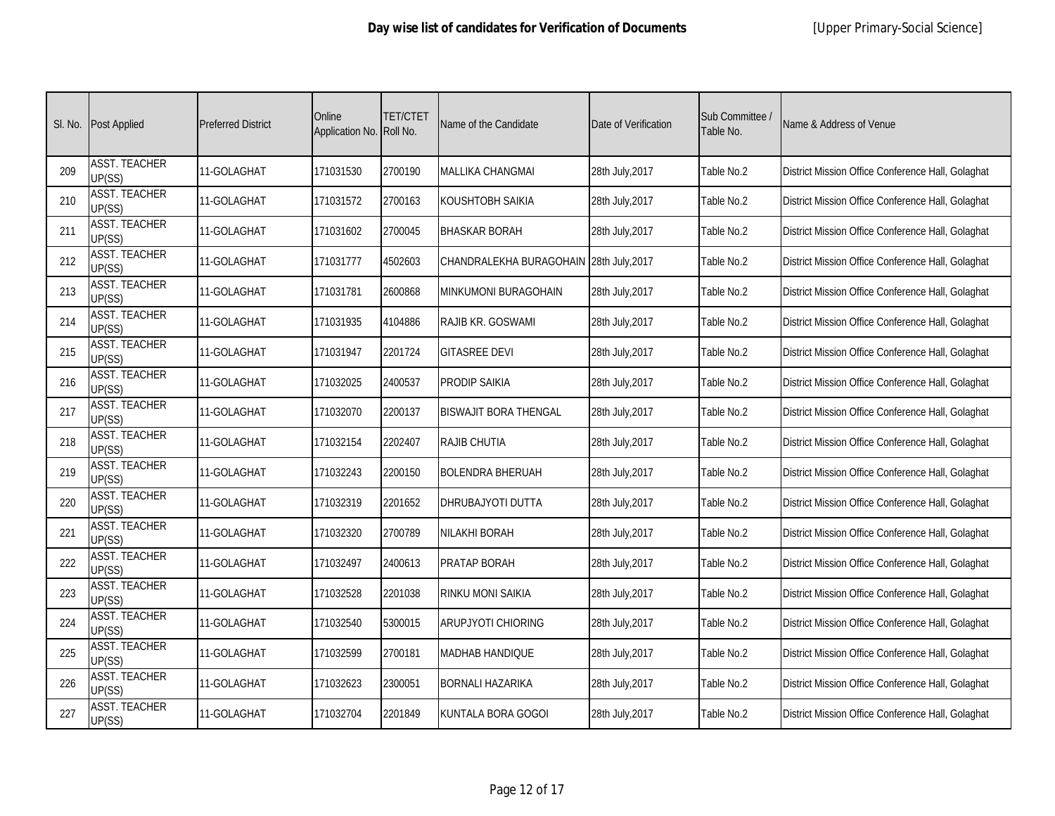| SI. No. | <b>Post Applied</b>            | <b>Preferred District</b> | Online<br>Application No. Roll No. | <b>TET/CTET</b> | Name of the Candidate                   | Date of Verification | Sub Committee /<br>Table No. | Name & Address of Venue                           |
|---------|--------------------------------|---------------------------|------------------------------------|-----------------|-----------------------------------------|----------------------|------------------------------|---------------------------------------------------|
| 209     | <b>ASST. TEACHER</b><br>UP(SS) | 11-GOLAGHAT               | 171031530                          | 2700190         | <b>MALLIKA CHANGMAI</b>                 | 28th July, 2017      | Table No.2                   | District Mission Office Conference Hall, Golaghat |
| 210     | <b>ASST. TEACHER</b><br>UP(SS) | 11-GOLAGHAT               | 171031572                          | 2700163         | KOUSHTOBH SAIKIA                        | 28th July, 2017      | Table No.2                   | District Mission Office Conference Hall, Golaghat |
| 211     | <b>ASST. TEACHER</b><br>UP(SS) | 11-GOLAGHAT               | 171031602                          | 2700045         | <b>BHASKAR BORAH</b>                    | 28th July, 2017      | Table No.2                   | District Mission Office Conference Hall, Golaghat |
| 212     | <b>ASST. TEACHER</b><br>UP(SS) | 11-GOLAGHAT               | 171031777                          | 4502603         | CHANDRALEKHA BURAGOHAIN 28th July, 2017 |                      | Table No.2                   | District Mission Office Conference Hall, Golaghat |
| 213     | <b>ASST. TEACHER</b><br>UP(SS) | 11-GOLAGHAT               | 171031781                          | 2600868         | MINKUMONI BURAGOHAIN                    | 28th July, 2017      | Table No.2                   | District Mission Office Conference Hall, Golaghat |
| 214     | <b>ASST. TEACHER</b><br>UP(SS) | 11-GOLAGHAT               | 171031935                          | 4104886         | RAJIB KR. GOSWAMI                       | 28th July, 2017      | Table No.2                   | District Mission Office Conference Hall, Golaghat |
| 215     | <b>ASST. TEACHER</b><br>UP(SS) | 11-GOLAGHAT               | 171031947                          | 2201724         | <b>GITASREE DEVI</b>                    | 28th July, 2017      | Table No.2                   | District Mission Office Conference Hall, Golaghat |
| 216     | <b>ASST. TEACHER</b><br>UP(SS) | 11-GOLAGHAT               | 171032025                          | 2400537         | PRODIP SAIKIA                           | 28th July, 2017      | Table No.2                   | District Mission Office Conference Hall, Golaghat |
| 217     | <b>ASST. TEACHER</b><br>UP(SS) | 11-GOLAGHAT               | 171032070                          | 2200137         | <b>BISWAJIT BORA THENGAL</b>            | 28th July, 2017      | Table No.2                   | District Mission Office Conference Hall, Golaghat |
| 218     | <b>ASST. TEACHER</b><br>UP(SS) | 11-GOLAGHAT               | 171032154                          | 2202407         | RAJIB CHUTIA                            | 28th July, 2017      | Table No.2                   | District Mission Office Conference Hall, Golaghat |
| 219     | <b>ASST. TEACHER</b><br>UP(SS) | 11-GOLAGHAT               | 171032243                          | 2200150         | <b>BOLENDRA BHERUAH</b>                 | 28th July, 2017      | Table No.2                   | District Mission Office Conference Hall, Golaghat |
| 220     | <b>ASST. TEACHER</b><br>UP(SS) | 11-GOLAGHAT               | 171032319                          | 2201652         | DHRUBAJYOTI DUTTA                       | 28th July, 2017      | Table No.2                   | District Mission Office Conference Hall, Golaghat |
| 221     | <b>ASST. TEACHER</b><br>UP(SS) | 11-GOLAGHAT               | 171032320                          | 2700789         | <b>NILAKHI BORAH</b>                    | 28th July, 2017      | Table No.2                   | District Mission Office Conference Hall, Golaghat |
| 222     | <b>ASST. TEACHER</b><br>UP(SS) | 11-GOLAGHAT               | 171032497                          | 2400613         | PRATAP BORAH                            | 28th July, 2017      | Table No.2                   | District Mission Office Conference Hall, Golaghat |
| 223     | <b>ASST. TEACHER</b><br>UP(SS) | 11-GOLAGHAT               | 171032528                          | 2201038         | <b>RINKU MONI SAIKIA</b>                | 28th July, 2017      | Table No.2                   | District Mission Office Conference Hall, Golaghat |
| 224     | <b>ASST. TEACHER</b><br>UP(SS) | 11-GOLAGHAT               | 171032540                          | 5300015         | ARUPJYOTI CHIORING                      | 28th July, 2017      | Table No.2                   | District Mission Office Conference Hall, Golaghat |
| 225     | <b>ASST. TEACHER</b><br>UP(SS) | 11-GOLAGHAT               | 171032599                          | 2700181         | <b>MADHAB HANDIQUE</b>                  | 28th July, 2017      | Table No.2                   | District Mission Office Conference Hall, Golaghat |
| 226     | <b>ASST. TEACHER</b><br>UP(SS) | 11-GOLAGHAT               | 171032623                          | 2300051         | <b>BORNALI HAZARIKA</b>                 | 28th July, 2017      | Table No.2                   | District Mission Office Conference Hall, Golaghat |
| 227     | <b>ASST. TEACHER</b><br>UP(SS) | 11-GOLAGHAT               | 171032704                          | 2201849         | KUNTALA BORA GOGOI                      | 28th July, 2017      | Table No.2                   | District Mission Office Conference Hall, Golaghat |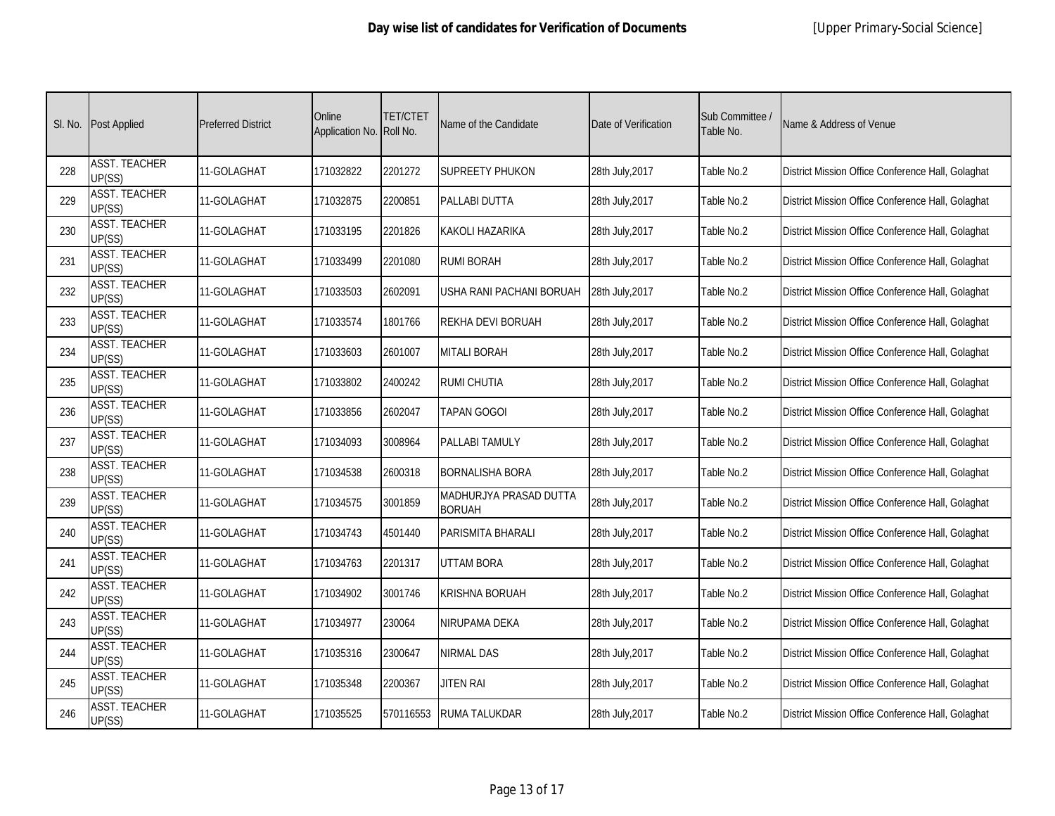|     | SI. No. Post Applied           | <b>Preferred District</b> | Online<br>Application No. Roll No. | <b>TET/CTET</b> | Name of the Candidate                   | Date of Verification | Sub Committee /<br>Table No. | Name & Address of Venue                           |
|-----|--------------------------------|---------------------------|------------------------------------|-----------------|-----------------------------------------|----------------------|------------------------------|---------------------------------------------------|
| 228 | <b>ASST. TEACHER</b><br>UP(SS) | 11-GOLAGHAT               | 171032822                          | 2201272         | <b>SUPREETY PHUKON</b>                  | 28th July, 2017      | Table No.2                   | District Mission Office Conference Hall, Golaghat |
| 229 | <b>ASST. TEACHER</b><br>UP(SS) | 11-GOLAGHAT               | 171032875                          | 2200851         | PALLABI DUTTA                           | 28th July, 2017      | Table No.2                   | District Mission Office Conference Hall, Golaghat |
| 230 | <b>ASST. TEACHER</b><br>UP(SS) | 11-GOLAGHAT               | 171033195                          | 2201826         | <b>KAKOLI HAZARIKA</b>                  | 28th July, 2017      | Table No.2                   | District Mission Office Conference Hall, Golaghat |
| 231 | <b>ASST. TEACHER</b><br>UP(SS) | 11-GOLAGHAT               | 171033499                          | 2201080         | <b>RUMI BORAH</b>                       | 28th July, 2017      | Table No.2                   | District Mission Office Conference Hall, Golaghat |
| 232 | <b>ASST. TEACHER</b><br>UP(SS) | 11-GOLAGHAT               | 171033503                          | 2602091         | USHA RANI PACHANI BORUAH                | 28th July, 2017      | Table No.2                   | District Mission Office Conference Hall, Golaghat |
| 233 | <b>ASST. TEACHER</b><br>UP(SS) | 11-GOLAGHAT               | 171033574                          | 1801766         | REKHA DEVI BORUAH                       | 28th July, 2017      | Table No.2                   | District Mission Office Conference Hall, Golaghat |
| 234 | <b>ASST. TEACHER</b><br>UP(SS) | 11-GOLAGHAT               | 171033603                          | 2601007         | <b>MITALI BORAH</b>                     | 28th July, 2017      | Table No.2                   | District Mission Office Conference Hall, Golaghat |
| 235 | <b>ASST. TEACHER</b><br>UP(SS) | 11-GOLAGHAT               | 171033802                          | 2400242         | <b>RUMI CHUTIA</b>                      | 28th July, 2017      | Table No.2                   | District Mission Office Conference Hall, Golaghat |
| 236 | <b>ASST. TEACHER</b><br>UP(SS) | 11-GOLAGHAT               | 171033856                          | 2602047         | TAPAN GOGOI                             | 28th July, 2017      | Table No.2                   | District Mission Office Conference Hall, Golaghat |
| 237 | <b>ASST. TEACHER</b><br>UP(SS) | 11-GOLAGHAT               | 171034093                          | 3008964         | PALLABI TAMULY                          | 28th July, 2017      | Table No.2                   | District Mission Office Conference Hall, Golaghat |
| 238 | <b>ASST. TEACHER</b><br>UP(SS) | 11-GOLAGHAT               | 171034538                          | 2600318         | <b>BORNALISHA BORA</b>                  | 28th July, 2017      | Table No.2                   | District Mission Office Conference Hall, Golaghat |
| 239 | <b>ASST. TEACHER</b><br>UP(SS) | 11-GOLAGHAT               | 171034575                          | 3001859         | MADHURJYA PRASAD DUTTA<br><b>BORUAH</b> | 28th July, 2017      | Table No.2                   | District Mission Office Conference Hall, Golaghat |
| 240 | <b>ASST. TEACHER</b><br>UP(SS) | 11-GOLAGHAT               | 171034743                          | 4501440         | PARISMITA BHARALI                       | 28th July, 2017      | Table No.2                   | District Mission Office Conference Hall, Golaghat |
| 241 | <b>ASST. TEACHER</b><br>UP(SS) | 11-GOLAGHAT               | 171034763                          | 2201317         | UTTAM BORA                              | 28th July, 2017      | Table No.2                   | District Mission Office Conference Hall, Golaghat |
| 242 | <b>ASST. TEACHER</b><br>UP(SS) | 11-GOLAGHAT               | 171034902                          | 3001746         | <b>KRISHNA BORUAH</b>                   | 28th July, 2017      | Table No.2                   | District Mission Office Conference Hall, Golaghat |
| 243 | <b>ASST. TEACHER</b><br>UP(SS) | 11-GOLAGHAT               | 171034977                          | 230064          | NIRUPAMA DEKA                           | 28th July, 2017      | Table No.2                   | District Mission Office Conference Hall, Golaghat |
| 244 | <b>ASST. TEACHER</b><br>UP(SS) | 11-GOLAGHAT               | 171035316                          | 2300647         | <b>NIRMAL DAS</b>                       | 28th July, 2017      | Table No.2                   | District Mission Office Conference Hall, Golaghat |
| 245 | <b>ASST. TEACHER</b><br>UP(SS) | 11-GOLAGHAT               | 171035348                          | 2200367         | jiten Rai                               | 28th July, 2017      | Table No.2                   | District Mission Office Conference Hall, Golaghat |
| 246 | <b>ASST. TEACHER</b><br>UP(SS) | 11-GOLAGHAT               | 171035525                          | 570116553       | <b>RUMA TALUKDAR</b>                    | 28th July, 2017      | Table No.2                   | District Mission Office Conference Hall, Golaghat |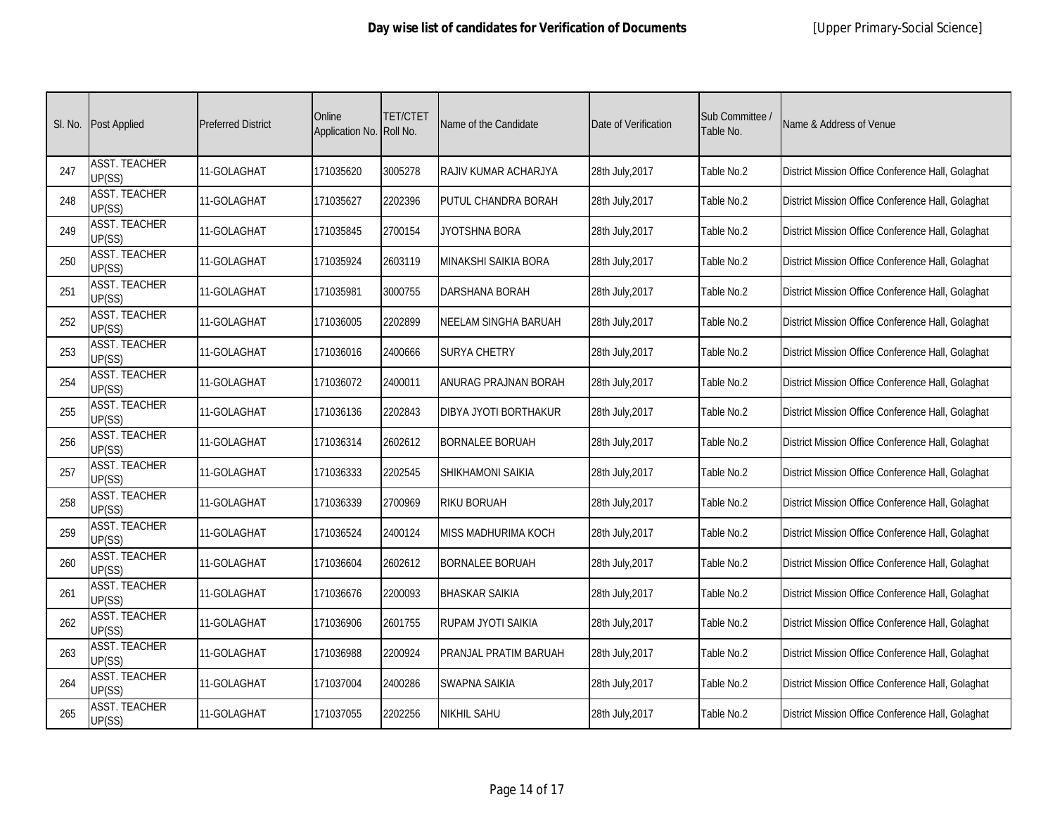| SI. No. | <b>Post Applied</b>            | <b>Preferred District</b> | Online<br>Application No. Roll No. | <b>TET/CTET</b> | Name of the Candidate       | Date of Verification | Sub Committee /<br>Table No. | Name & Address of Venue                           |
|---------|--------------------------------|---------------------------|------------------------------------|-----------------|-----------------------------|----------------------|------------------------------|---------------------------------------------------|
| 247     | <b>ASST. TEACHER</b><br>UP(SS) | 11-GOLAGHAT               | 171035620                          | 3005278         | RAJIV KUMAR ACHARJYA        | 28th July, 2017      | Table No.2                   | District Mission Office Conference Hall, Golaghat |
| 248     | <b>ASST. TEACHER</b><br>UP(SS) | 11-GOLAGHAT               | 171035627                          | 2202396         | PUTUL CHANDRA BORAH         | 28th July, 2017      | Table No.2                   | District Mission Office Conference Hall, Golaghat |
| 249     | <b>ASST. TEACHER</b><br>UP(SS) | 11-GOLAGHAT               | 171035845                          | 2700154         | JYOTSHNA BORA               | 28th July, 2017      | Table No.2                   | District Mission Office Conference Hall, Golaghat |
| 250     | <b>ASST. TEACHER</b><br>UP(SS) | 11-GOLAGHAT               | 171035924                          | 2603119         | <b>MINAKSHI SAIKIA BORA</b> | 28th July, 2017      | Table No.2                   | District Mission Office Conference Hall, Golaghat |
| 251     | <b>ASST. TEACHER</b><br>UP(SS) | 11-GOLAGHAT               | 171035981                          | 3000755         | <b>DARSHANA BORAH</b>       | 28th July, 2017      | Table No.2                   | District Mission Office Conference Hall, Golaghat |
| 252     | <b>ASST. TEACHER</b><br>UP(SS) | 11-GOLAGHAT               | 171036005                          | 2202899         | NEELAM SINGHA BARUAH        | 28th July, 2017      | Table No.2                   | District Mission Office Conference Hall, Golaghat |
| 253     | <b>ASST. TEACHER</b><br>UP(SS) | 11-GOLAGHAT               | 171036016                          | 2400666         | <b>SURYA CHETRY</b>         | 28th July, 2017      | Table No.2                   | District Mission Office Conference Hall, Golaghat |
| 254     | <b>ASST. TEACHER</b><br>UP(SS) | 11-GOLAGHAT               | 171036072                          | 2400011         | ANURAG PRAJNAN BORAH        | 28th July, 2017      | Table No.2                   | District Mission Office Conference Hall, Golaghat |
| 255     | <b>ASST. TEACHER</b><br>UP(SS) | 11-GOLAGHAT               | 171036136                          | 2202843         | DIBYA JYOTI BORTHAKUR       | 28th July, 2017      | Table No.2                   | District Mission Office Conference Hall, Golaghat |
| 256     | <b>ASST. TEACHER</b><br>UP(SS) | 11-GOLAGHAT               | 171036314                          | 2602612         | <b>BORNALEE BORUAH</b>      | 28th July, 2017      | Table No.2                   | District Mission Office Conference Hall, Golaghat |
| 257     | <b>ASST. TEACHER</b><br>UP(SS) | 11-GOLAGHAT               | 171036333                          | 2202545         | SHIKHAMONI SAIKIA           | 28th July, 2017      | Table No.2                   | District Mission Office Conference Hall, Golaghat |
| 258     | <b>ASST. TEACHER</b><br>UP(SS) | 11-GOLAGHAT               | 171036339                          | 2700969         | RIKU BORUAH                 | 28th July, 2017      | Table No.2                   | District Mission Office Conference Hall, Golaghat |
| 259     | <b>ASST. TEACHER</b><br>UP(SS) | 11-GOLAGHAT               | 171036524                          | 2400124         | MISS MADHURIMA KOCH         | 28th July, 2017      | Table No.2                   | District Mission Office Conference Hall, Golaghat |
| 260     | <b>ASST. TEACHER</b><br>UP(SS) | 11-GOLAGHAT               | 171036604                          | 2602612         | BORNALEE BORUAH             | 28th July, 2017      | Table No.2                   | District Mission Office Conference Hall, Golaghat |
| 261     | <b>ASST. TEACHER</b><br>UP(SS) | 11-GOLAGHAT               | 171036676                          | 2200093         | <b>BHASKAR SAIKIA</b>       | 28th July, 2017      | Table No.2                   | District Mission Office Conference Hall, Golaghat |
| 262     | <b>ASST. TEACHER</b><br>UP(SS) | 11-GOLAGHAT               | 171036906                          | 2601755         | RUPAM JYOTI SAIKIA          | 28th July, 2017      | Table No.2                   | District Mission Office Conference Hall, Golaghat |
| 263     | <b>ASST. TEACHER</b><br>UP(SS) | 11-GOLAGHAT               | 171036988                          | 2200924         | PRANJAL PRATIM BARUAH       | 28th July, 2017      | Table No.2                   | District Mission Office Conference Hall, Golaghat |
| 264     | <b>ASST. TEACHER</b><br>UP(SS) | 11-GOLAGHAT               | 171037004                          | 2400286         | SWAPNA SAIKIA               | 28th July, 2017      | Table No.2                   | District Mission Office Conference Hall, Golaghat |
| 265     | <b>ASST. TEACHER</b><br>UP(SS) | 11-GOLAGHAT               | 171037055                          | 2202256         | <b>NIKHIL SAHU</b>          | 28th July, 2017      | Table No.2                   | District Mission Office Conference Hall, Golaghat |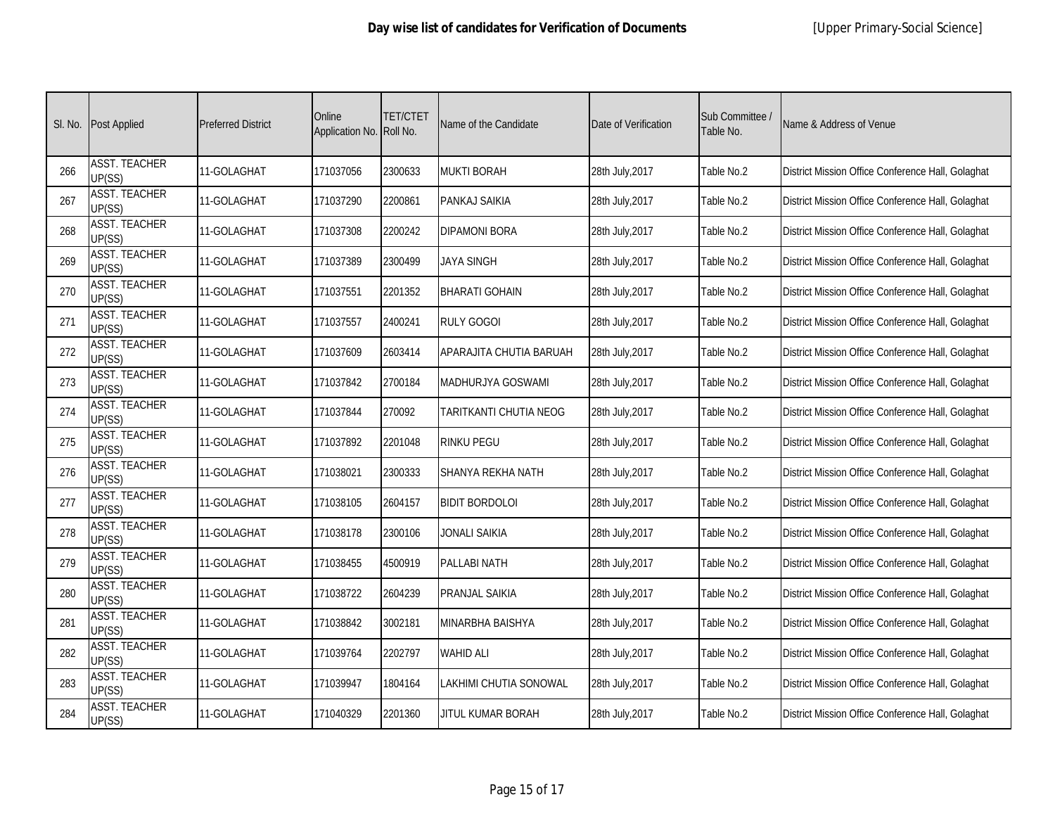| SI. No. | <b>Post Applied</b>            | <b>Preferred District</b> | Online<br>Application No. Roll No. | <b>TET/CTET</b> | Name of the Candidate   | Date of Verification | Sub Committee /<br>Table No. | Name & Address of Venue                           |
|---------|--------------------------------|---------------------------|------------------------------------|-----------------|-------------------------|----------------------|------------------------------|---------------------------------------------------|
| 266     | <b>ASST. TEACHER</b><br>UP(SS) | 11-GOLAGHAT               | 171037056                          | 2300633         | <b>MUKTI BORAH</b>      | 28th July, 2017      | Table No.2                   | District Mission Office Conference Hall, Golaghat |
| 267     | <b>ASST. TEACHER</b><br>UP(SS) | 11-GOLAGHAT               | 171037290                          | 2200861         | PANKAJ SAIKIA           | 28th July, 2017      | Table No.2                   | District Mission Office Conference Hall, Golaghat |
| 268     | <b>ASST. TEACHER</b><br>UP(SS) | 11-GOLAGHAT               | 171037308                          | 2200242         | <b>DIPAMONI BORA</b>    | 28th July, 2017      | Table No.2                   | District Mission Office Conference Hall, Golaghat |
| 269     | <b>ASST. TEACHER</b><br>UP(SS) | 11-GOLAGHAT               | 171037389                          | 2300499         | <b>JAYA SINGH</b>       | 28th July, 2017      | Table No.2                   | District Mission Office Conference Hall, Golaghat |
| 270     | <b>ASST. TEACHER</b><br>UP(SS) | 11-GOLAGHAT               | 171037551                          | 2201352         | <b>BHARATI GOHAIN</b>   | 28th July, 2017      | Table No.2                   | District Mission Office Conference Hall, Golaghat |
| 271     | <b>ASST. TEACHER</b><br>UP(SS) | 11-GOLAGHAT               | 171037557                          | 2400241         | <b>RULY GOGOI</b>       | 28th July, 2017      | Table No.2                   | District Mission Office Conference Hall, Golaghat |
| 272     | <b>ASST. TEACHER</b><br>UP(SS) | 11-GOLAGHAT               | 171037609                          | 2603414         | APARAJITA CHUTIA BARUAH | 28th July, 2017      | Table No.2                   | District Mission Office Conference Hall, Golaghat |
| 273     | <b>ASST. TEACHER</b><br>UP(SS) | 11-GOLAGHAT               | 171037842                          | 2700184         | MADHURJYA GOSWAMI       | 28th July, 2017      | Table No.2                   | District Mission Office Conference Hall, Golaghat |
| 274     | <b>ASST. TEACHER</b><br>UP(SS) | 11-GOLAGHAT               | 171037844                          | 270092          | TARITKANTI CHUTIA NEOG  | 28th July, 2017      | Table No.2                   | District Mission Office Conference Hall, Golaghat |
| 275     | <b>ASST. TEACHER</b><br>UP(SS) | 11-GOLAGHAT               | 171037892                          | 2201048         | RINKU PEGU              | 28th July, 2017      | Table No.2                   | District Mission Office Conference Hall, Golaghat |
| 276     | <b>ASST. TEACHER</b><br>UP(SS) | 11-GOLAGHAT               | 171038021                          | 2300333         | SHANYA REKHA NATH       | 28th July, 2017      | Table No.2                   | District Mission Office Conference Hall, Golaghat |
| 277     | <b>ASST. TEACHER</b><br>UP(SS) | 11-GOLAGHAT               | 171038105                          | 2604157         | BIDIT BORDOLOI          | 28th July, 2017      | Table No.2                   | District Mission Office Conference Hall, Golaghat |
| 278     | <b>ASST. TEACHER</b><br>UP(SS) | 11-GOLAGHAT               | 171038178                          | 2300106         | JONALI SAIKIA           | 28th July, 2017      | Table No.2                   | District Mission Office Conference Hall, Golaghat |
| 279     | <b>ASST. TEACHER</b><br>UP(SS) | 11-GOLAGHAT               | 171038455                          | 4500919         | PALLABI NATH            | 28th July, 2017      | Table No.2                   | District Mission Office Conference Hall, Golaghat |
| 280     | <b>ASST. TEACHER</b><br>UP(SS) | 11-GOLAGHAT               | 171038722                          | 2604239         | <b>PRANJAL SAIKIA</b>   | 28th July, 2017      | Table No.2                   | District Mission Office Conference Hall, Golaghat |
| 281     | <b>ASST. TEACHER</b><br>UP(SS) | 11-GOLAGHAT               | 171038842                          | 3002181         | <b>MINARBHA BAISHYA</b> | 28th July, 2017      | Table No.2                   | District Mission Office Conference Hall, Golaghat |
| 282     | <b>ASST. TEACHER</b><br>UP(SS) | 11-GOLAGHAT               | 171039764                          | 2202797         | <b>WAHID ALI</b>        | 28th July, 2017      | Table No.2                   | District Mission Office Conference Hall, Golaghat |
| 283     | <b>ASST. TEACHER</b><br>UP(SS) | 11-GOLAGHAT               | 171039947                          | 1804164         | LAKHIMI CHUTIA SONOWAL  | 28th July, 2017      | Table No.2                   | District Mission Office Conference Hall, Golaghat |
| 284     | <b>ASST. TEACHER</b><br>UP(SS) | 11-GOLAGHAT               | 171040329                          | 2201360         | JITUL KUMAR BORAH       | 28th July, 2017      | Table No.2                   | District Mission Office Conference Hall, Golaghat |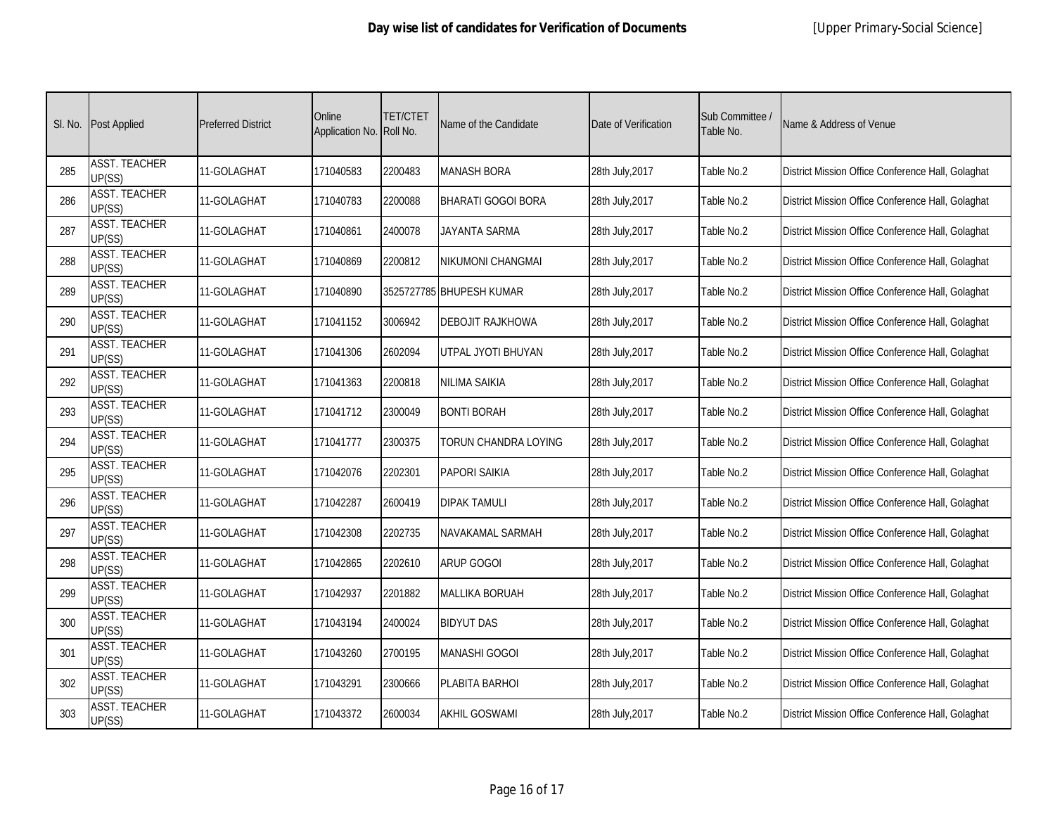| SI. No. | <b>Post Applied</b>            | <b>Preferred District</b> | Online<br>Application No. Roll No. | <b>TET/CTET</b> | Name of the Candidate    | Date of Verification | Sub Committee /<br>Table No. | Name & Address of Venue                           |
|---------|--------------------------------|---------------------------|------------------------------------|-----------------|--------------------------|----------------------|------------------------------|---------------------------------------------------|
| 285     | <b>ASST. TEACHER</b><br>UP(SS) | 11-GOLAGHAT               | 171040583                          | 2200483         | <b>MANASH BORA</b>       | 28th July, 2017      | Table No.2                   | District Mission Office Conference Hall, Golaghat |
| 286     | <b>ASST. TEACHER</b><br>UP(SS) | 11-GOLAGHAT               | 171040783                          | 2200088         | BHARATI GOGOI BORA       | 28th July, 2017      | Table No.2                   | District Mission Office Conference Hall, Golaghat |
| 287     | <b>ASST. TEACHER</b><br>UP(SS) | 11-GOLAGHAT               | 171040861                          | 2400078         | JAYANTA SARMA            | 28th July, 2017      | Table No.2                   | District Mission Office Conference Hall, Golaghat |
| 288     | <b>ASST. TEACHER</b><br>UP(SS) | 11-GOLAGHAT               | 171040869                          | 2200812         | NIKUMONI CHANGMAI        | 28th July, 2017      | Table No.2                   | District Mission Office Conference Hall, Golaghat |
| 289     | <b>ASST. TEACHER</b><br>UP(SS) | 11-GOLAGHAT               | 171040890                          |                 | 3525727785 BHUPESH KUMAR | 28th July, 2017      | Table No.2                   | District Mission Office Conference Hall, Golaghat |
| 290     | <b>ASST. TEACHER</b><br>UP(SS) | 11-GOLAGHAT               | 171041152                          | 3006942         | <b>DEBOJIT RAJKHOWA</b>  | 28th July, 2017      | Table No.2                   | District Mission Office Conference Hall, Golaghat |
| 291     | <b>ASST. TEACHER</b><br>UP(SS) | 11-GOLAGHAT               | 171041306                          | 2602094         | UTPAL JYOTI BHUYAN       | 28th July, 2017      | Table No.2                   | District Mission Office Conference Hall, Golaghat |
| 292     | <b>ASST. TEACHER</b><br>UP(SS) | 11-GOLAGHAT               | 171041363                          | 2200818         | <b>NILIMA SAIKIA</b>     | 28th July, 2017      | Table No.2                   | District Mission Office Conference Hall, Golaghat |
| 293     | <b>ASST. TEACHER</b><br>UP(SS) | 11-GOLAGHAT               | 171041712                          | 2300049         | <b>BONTI BORAH</b>       | 28th July, 2017      | Table No.2                   | District Mission Office Conference Hall, Golaghat |
| 294     | <b>ASST. TEACHER</b><br>UP(SS) | 11-GOLAGHAT               | 171041777                          | 2300375         | TORUN CHANDRA LOYING     | 28th July, 2017      | Table No.2                   | District Mission Office Conference Hall, Golaghat |
| 295     | <b>ASST. TEACHER</b><br>UP(SS) | 11-GOLAGHAT               | 171042076                          | 2202301         | <b>PAPORI SAIKIA</b>     | 28th July, 2017      | Table No.2                   | District Mission Office Conference Hall, Golaghat |
| 296     | <b>ASST. TEACHER</b><br>UP(SS) | 11-GOLAGHAT               | 171042287                          | 2600419         | <b>DIPAK TAMULI</b>      | 28th July, 2017      | Table No.2                   | District Mission Office Conference Hall, Golaghat |
| 297     | <b>ASST. TEACHER</b><br>UP(SS) | 11-GOLAGHAT               | 171042308                          | 2202735         | NAVAKAMAL SARMAH         | 28th July, 2017      | Table No.2                   | District Mission Office Conference Hall, Golaghat |
| 298     | <b>ASST. TEACHER</b><br>UP(SS) | 11-GOLAGHAT               | 171042865                          | 2202610         | ARUP GOGOI               | 28th July, 2017      | Table No.2                   | District Mission Office Conference Hall, Golaghat |
| 299     | <b>ASST. TEACHER</b><br>UP(SS) | 11-GOLAGHAT               | 171042937                          | 2201882         | MALLIKA BORUAH           | 28th July, 2017      | Table No.2                   | District Mission Office Conference Hall, Golaghat |
| 300     | <b>ASST. TEACHER</b><br>UP(SS) | 11-GOLAGHAT               | 171043194                          | 2400024         | <b>BIDYUT DAS</b>        | 28th July, 2017      | Table No.2                   | District Mission Office Conference Hall, Golaghat |
| 301     | <b>ASST. TEACHER</b><br>UP(SS) | 11-GOLAGHAT               | 171043260                          | 2700195         | <b>MANASHI GOGOI</b>     | 28th July, 2017      | Table No.2                   | District Mission Office Conference Hall, Golaghat |
| 302     | <b>ASST. TEACHER</b><br>UP(SS) | 11-GOLAGHAT               | 171043291                          | 2300666         | PLABITA BARHOI           | 28th July, 2017      | Table No.2                   | District Mission Office Conference Hall, Golaghat |
| 303     | <b>ASST. TEACHER</b><br>UP(SS) | 11-GOLAGHAT               | 171043372                          | 2600034         | <b>AKHIL GOSWAMI</b>     | 28th July, 2017      | Table No.2                   | District Mission Office Conference Hall, Golaghat |